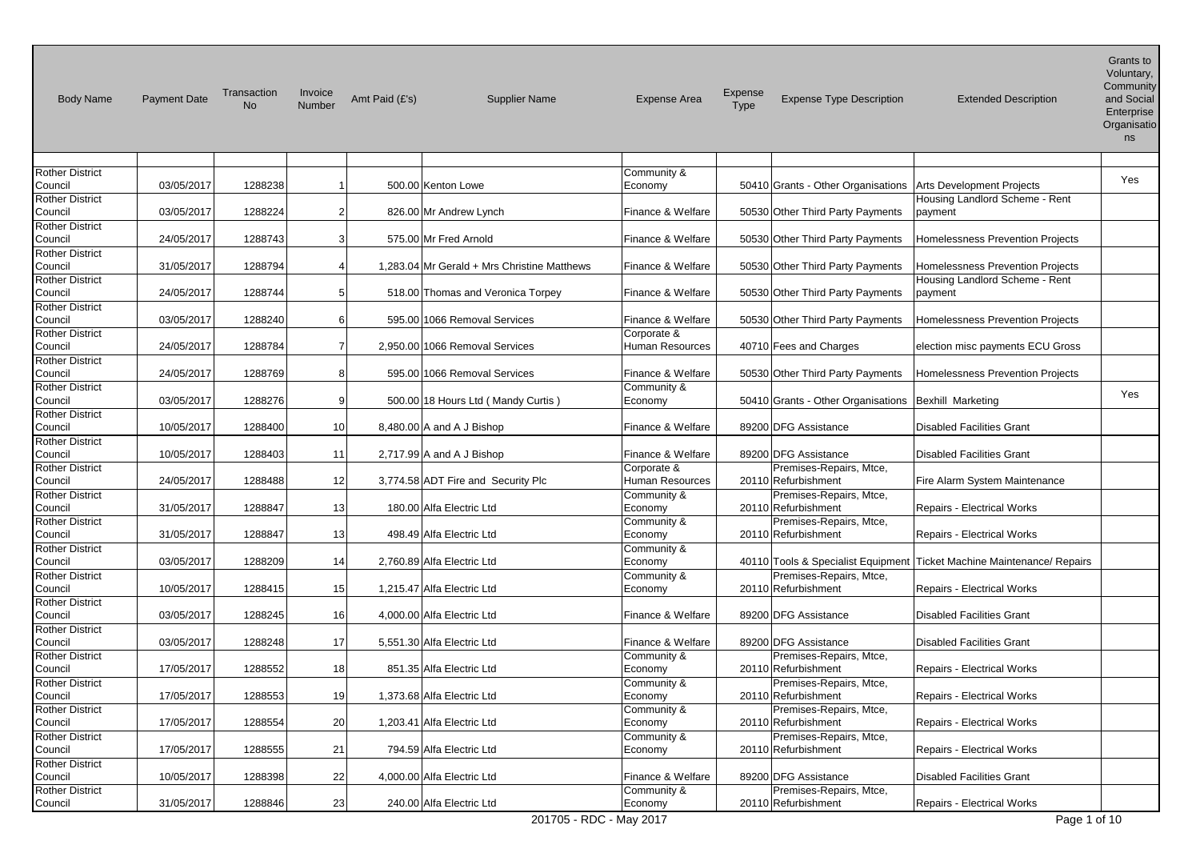| <b>Body Name</b>                  | <b>Payment Date</b> | Transaction<br><b>No</b> | Invoice<br>Number | Amt Paid (£'s) | <b>Supplier Name</b>                        | <b>Expense Area</b>              | Expense<br>Type | <b>Expense Type Description</b>                | <b>Extended Description</b>                                            | Grants to<br>Voluntary,<br>Community<br>and Social<br>Enterprise<br>Organisatio<br>ns |
|-----------------------------------|---------------------|--------------------------|-------------------|----------------|---------------------------------------------|----------------------------------|-----------------|------------------------------------------------|------------------------------------------------------------------------|---------------------------------------------------------------------------------------|
|                                   |                     |                          |                   |                |                                             |                                  |                 |                                                |                                                                        |                                                                                       |
| <b>Rother District</b>            |                     |                          |                   |                |                                             | Community &                      |                 |                                                |                                                                        | Yes                                                                                   |
| Council                           | 03/05/2017          | 1288238                  | -1                |                | 500.00 Kenton Lowe                          | Economy                          |                 | 50410 Grants - Other Organisations             | <b>Arts Development Projects</b>                                       |                                                                                       |
| <b>Rother District</b><br>Council | 03/05/2017          | 1288224                  | $\overline{2}$    |                | 826.00 Mr Andrew Lynch                      | Finance & Welfare                |                 | 50530 Other Third Party Payments               | Housing Landlord Scheme - Rent<br>payment                              |                                                                                       |
| <b>Rother District</b>            |                     |                          |                   |                |                                             |                                  |                 |                                                |                                                                        |                                                                                       |
| Council                           | 24/05/2017          | 1288743                  | 3 <sup>1</sup>    |                | 575.00 Mr Fred Arnold                       | Finance & Welfare                |                 | 50530 Other Third Party Payments               | Homelessness Prevention Projects                                       |                                                                                       |
| <b>Rother District</b>            |                     |                          |                   |                |                                             |                                  |                 |                                                |                                                                        |                                                                                       |
| Council                           | 31/05/2017          | 1288794                  | $\frac{4}{ }$     |                | 1,283.04 Mr Gerald + Mrs Christine Matthews | Finance & Welfare                |                 | 50530 Other Third Party Payments               | Homelessness Prevention Projects                                       |                                                                                       |
| <b>Rother District</b>            |                     |                          |                   |                |                                             |                                  |                 |                                                | Housing Landlord Scheme - Rent                                         |                                                                                       |
| Council                           | 24/05/2017          | 1288744                  | 5 <sup>1</sup>    |                | 518.00 Thomas and Veronica Torpey           | Finance & Welfare                |                 | 50530 Other Third Party Payments               | payment                                                                |                                                                                       |
| <b>Rother District</b>            |                     |                          |                   |                |                                             |                                  |                 |                                                |                                                                        |                                                                                       |
| Council                           | 03/05/2017          | 1288240                  | 6                 |                | 595.00 1066 Removal Services                | Finance & Welfare                |                 | 50530 Other Third Party Payments               | Homelessness Prevention Projects                                       |                                                                                       |
| <b>Rother District</b>            |                     |                          |                   |                |                                             | Corporate &                      |                 |                                                |                                                                        |                                                                                       |
| Council                           | 24/05/2017          | 1288784                  | $\overline{7}$    |                | 2,950.00 1066 Removal Services              | Human Resources                  |                 | 40710 Fees and Charges                         | election misc payments ECU Gross                                       |                                                                                       |
| <b>Rother District</b>            |                     |                          |                   |                |                                             |                                  |                 |                                                | <b>Homelessness Prevention Projects</b>                                |                                                                                       |
| Council<br><b>Rother District</b> | 24/05/2017          | 1288769                  | 8 <sup>1</sup>    |                | 595.00 1066 Removal Services                | Finance & Welfare<br>Community & |                 | 50530 Other Third Party Payments               |                                                                        |                                                                                       |
| Council                           | 03/05/2017          | 1288276                  | 9 <sup>1</sup>    |                | 500.00 18 Hours Ltd (Mandy Curtis)          | Economy                          |                 | 50410 Grants - Other Organisations             | Bexhill Marketing                                                      | Yes                                                                                   |
| <b>Rother District</b>            |                     |                          |                   |                |                                             |                                  |                 |                                                |                                                                        |                                                                                       |
| Council                           | 10/05/2017          | 1288400                  | 10 <sub>l</sub>   |                | 8,480.00 A and A J Bishop                   | Finance & Welfare                |                 | 89200 DFG Assistance                           | <b>Disabled Facilities Grant</b>                                       |                                                                                       |
| <b>Rother District</b>            |                     |                          |                   |                |                                             |                                  |                 |                                                |                                                                        |                                                                                       |
| Council                           | 10/05/2017          | 1288403                  | 11                |                | 2,717.99 A and A J Bishop                   | Finance & Welfare                |                 | 89200 DFG Assistance                           | <b>Disabled Facilities Grant</b>                                       |                                                                                       |
| <b>Rother District</b>            |                     |                          |                   |                |                                             | Corporate &                      |                 | Premises-Repairs, Mtce,                        |                                                                        |                                                                                       |
| Council                           | 24/05/2017          | 1288488                  | 12                |                | 3,774.58 ADT Fire and Security Plc          | Human Resources                  |                 | 20110 Refurbishment                            | Fire Alarm System Maintenance                                          |                                                                                       |
| <b>Rother District</b>            |                     |                          |                   |                |                                             | Community &                      |                 | Premises-Repairs, Mtce,                        |                                                                        |                                                                                       |
| Council                           | 31/05/2017          | 1288847                  | 13                |                | 180.00 Alfa Electric Ltd                    | Economy                          |                 | 20110 Refurbishment                            | Repairs - Electrical Works                                             |                                                                                       |
| <b>Rother District</b>            |                     |                          |                   |                |                                             | Community &                      |                 | Premises-Repairs, Mtce,                        |                                                                        |                                                                                       |
| Council                           | 31/05/2017          | 1288847                  | 13                |                | 498.49 Alfa Electric Ltd                    | Economy                          |                 | 20110 Refurbishment                            | Repairs - Electrical Works                                             |                                                                                       |
| Rother District<br>Council        | 03/05/2017          | 1288209                  | 14                |                | 2,760.89 Alfa Electric Ltd                  | Community &<br>Economy           |                 |                                                | 40110 Tools & Specialist Equipment Ticket Machine Maintenance/ Repairs |                                                                                       |
| <b>Rother District</b>            |                     |                          |                   |                |                                             | Community &                      |                 | Premises-Repairs, Mtce,                        |                                                                        |                                                                                       |
| Council                           | 10/05/2017          | 1288415                  | 15                |                | 1,215.47 Alfa Electric Ltd                  | Economy                          |                 | 20110 Refurbishment                            | Repairs - Electrical Works                                             |                                                                                       |
| <b>Rother District</b>            |                     |                          |                   |                |                                             |                                  |                 |                                                |                                                                        |                                                                                       |
| Council                           | 03/05/2017          | 1288245                  | 16                |                | 4,000.00 Alfa Electric Ltd                  | Finance & Welfare                |                 | 89200 DFG Assistance                           | <b>Disabled Facilities Grant</b>                                       |                                                                                       |
| <b>Rother District</b>            |                     |                          |                   |                |                                             |                                  |                 |                                                |                                                                        |                                                                                       |
| Council                           | 03/05/2017          | 1288248                  | 17                |                | 5,551.30 Alfa Electric Ltd                  | Finance & Welfare                |                 | 89200 DFG Assistance                           | Disabled Facilities Grant                                              |                                                                                       |
| <b>Rother District</b>            |                     |                          |                   |                |                                             | Community &                      |                 | Premises-Repairs, Mtce,                        |                                                                        |                                                                                       |
| Council                           | 17/05/2017          | 1288552                  | 18 <sup>1</sup>   |                | 851.35 Alfa Electric Ltd                    | Economy                          |                 | 20110 Refurbishment                            | Repairs - Electrical Works                                             |                                                                                       |
| <b>Rother District</b>            |                     |                          |                   |                |                                             | Community &                      |                 | Premises-Repairs, Mtce,                        |                                                                        |                                                                                       |
| Council                           | 17/05/2017          | 1288553                  | 19                |                | 1,373.68 Alfa Electric Ltd                  | Economy                          |                 | 20110 Refurbishment                            | Repairs - Electrical Works                                             |                                                                                       |
| <b>Rother District</b><br>Council | 17/05/2017          | 1288554                  | 20 <sub>l</sub>   |                | 1,203.41 Alfa Electric Ltd                  | Community &<br>Economy           |                 | Premises-Repairs, Mtce,<br>20110 Refurbishment | Repairs - Electrical Works                                             |                                                                                       |
| <b>Rother District</b>            |                     |                          |                   |                |                                             | Community &                      |                 | Premises-Repairs, Mtce,                        |                                                                        |                                                                                       |
| Council                           | 17/05/2017          | 1288555                  | 21                |                | 794.59 Alfa Electric Ltd                    | Economy                          |                 | 20110 Refurbishment                            | Repairs - Electrical Works                                             |                                                                                       |
| <b>Rother District</b>            |                     |                          |                   |                |                                             |                                  |                 |                                                |                                                                        |                                                                                       |
| Council                           | 10/05/2017          | 1288398                  | 22                |                | 4.000.00 Alfa Electric Ltd                  | Finance & Welfare                |                 | 89200 DFG Assistance                           | <b>Disabled Facilities Grant</b>                                       |                                                                                       |
| <b>Rother District</b>            |                     |                          |                   |                |                                             | Community &                      |                 | Premises-Repairs, Mtce,                        |                                                                        |                                                                                       |
| Council                           | 31/05/2017          | 1288846                  | 23                |                | 240.00 Alfa Electric Ltd                    | Economy                          |                 | 20110 Refurbishment                            | Repairs - Electrical Works                                             |                                                                                       |
|                                   |                     |                          |                   |                | 201705 - RDC - May 2017                     |                                  |                 |                                                | Page 1 of 10                                                           |                                                                                       |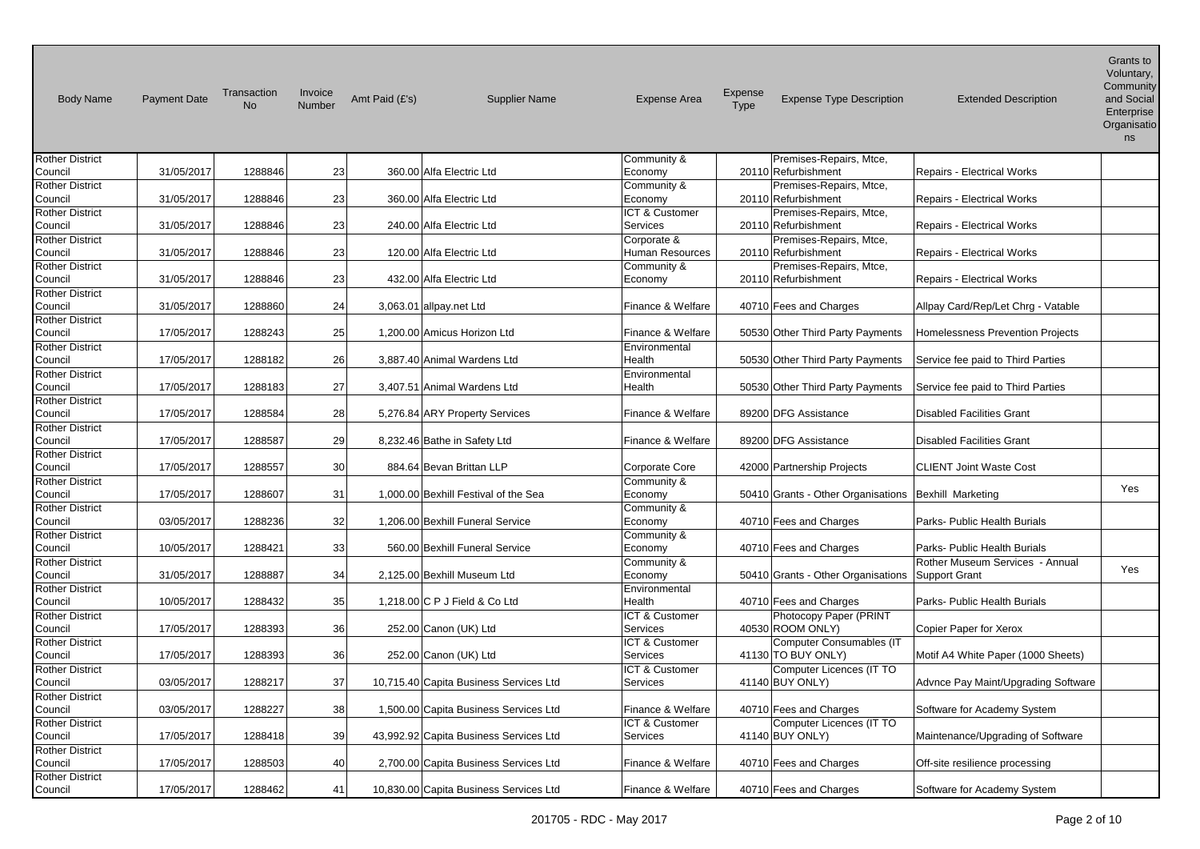| <b>Body Name</b>                  | <b>Payment Date</b> | Transaction<br><b>No</b> | Invoice<br>Number | Amt Paid (£'s) | <b>Supplier Name</b>                   | <b>Expense Area</b>        | Expense<br>Type | <b>Expense Type Description</b>                       | <b>Extended Description</b>             | שו בוווסוט<br>Voluntary,<br>Community<br>and Social<br>Enterprise<br>Organisatio<br>ns |
|-----------------------------------|---------------------|--------------------------|-------------------|----------------|----------------------------------------|----------------------------|-----------------|-------------------------------------------------------|-----------------------------------------|----------------------------------------------------------------------------------------|
| <b>Rother District</b>            |                     |                          |                   |                |                                        | Community &                |                 | Premises-Repairs, Mtce,                               |                                         |                                                                                        |
| Council                           | 31/05/2017          | 1288846                  | 23                |                | 360.00 Alfa Electric Ltd               | Economy                    |                 | 20110 Refurbishment                                   | Repairs - Electrical Works              |                                                                                        |
| <b>Rother District</b>            |                     |                          |                   |                |                                        | Community &                |                 | Premises-Repairs, Mtce,                               |                                         |                                                                                        |
| Council                           | 31/05/2017          | 1288846                  | 23                |                | 360.00 Alfa Electric Ltd               | Economy                    |                 | 20110 Refurbishment                                   | Repairs - Electrical Works              |                                                                                        |
| <b>Rother District</b>            |                     |                          |                   |                |                                        | ICT & Customer             |                 | Premises-Repairs, Mtce,                               |                                         |                                                                                        |
| Council                           | 31/05/2017          | 1288846                  | 23                |                | 240.00 Alfa Electric Ltd               | Services                   |                 | 20110 Refurbishment                                   | <b>Repairs - Electrical Works</b>       |                                                                                        |
| <b>Rother District</b>            |                     |                          |                   |                |                                        | Corporate &                |                 | Premises-Repairs, Mtce,                               |                                         |                                                                                        |
| Council                           | 31/05/2017          | 1288846                  | 23                |                | 120.00 Alfa Electric Ltd               | Human Resources            |                 | 20110 Refurbishment                                   | Repairs - Electrical Works              |                                                                                        |
| <b>Rother District</b>            |                     |                          |                   |                |                                        | Community &                |                 | Premises-Repairs, Mtce,                               |                                         |                                                                                        |
| Council                           | 31/05/2017          | 1288846                  | 23                |                | 432.00 Alfa Electric Ltd               | Economy                    |                 | 20110 Refurbishment                                   | <b>Repairs - Electrical Works</b>       |                                                                                        |
| <b>Rother District</b>            |                     |                          |                   |                |                                        |                            |                 |                                                       |                                         |                                                                                        |
| Council                           | 31/05/2017          | 1288860                  | 24                |                | 3,063.01 allpay.net Ltd                | Finance & Welfare          |                 | 40710 Fees and Charges                                | Allpay Card/Rep/Let Chrg - Vatable      |                                                                                        |
| <b>Rother District</b><br>Council | 17/05/2017          | 1288243                  | 25                |                | 1.200.00 Amicus Horizon Ltd            | Finance & Welfare          |                 | 50530 Other Third Party Payments                      | <b>Homelessness Prevention Projects</b> |                                                                                        |
| <b>Rother District</b>            |                     |                          |                   |                |                                        | Environmental              |                 |                                                       |                                         |                                                                                        |
| Council                           | 17/05/2017          | 1288182                  | 26                |                | 3,887.40 Animal Wardens Ltd            | Health                     |                 | 50530 Other Third Party Payments                      | Service fee paid to Third Parties       |                                                                                        |
| <b>Rother District</b>            |                     |                          |                   |                |                                        | Environmental              |                 |                                                       |                                         |                                                                                        |
| Council                           | 17/05/2017          | 1288183                  | 27                |                | 3,407.51 Animal Wardens Ltd            | Health                     |                 | 50530 Other Third Party Payments                      | Service fee paid to Third Parties       |                                                                                        |
| <b>Rother District</b>            |                     |                          |                   |                |                                        |                            |                 |                                                       |                                         |                                                                                        |
| Council                           | 17/05/2017          | 1288584                  | 28                |                | 5,276.84 ARY Property Services         | Finance & Welfare          |                 | 89200 DFG Assistance                                  | <b>Disabled Facilities Grant</b>        |                                                                                        |
| <b>Rother District</b>            |                     |                          |                   |                |                                        |                            |                 |                                                       |                                         |                                                                                        |
| Council                           | 17/05/2017          | 1288587                  | 29                |                | 8,232.46 Bathe in Safety Ltd           | Finance & Welfare          |                 | 89200 DFG Assistance                                  | <b>Disabled Facilities Grant</b>        |                                                                                        |
| <b>Rother District</b>            |                     |                          |                   |                |                                        |                            |                 |                                                       |                                         |                                                                                        |
| Council                           | 17/05/2017          | 1288557                  | 30                |                | 884.64 Bevan Brittan LLP               | Corporate Core             |                 | 42000 Partnership Projects                            | <b>CLIENT Joint Waste Cost</b>          |                                                                                        |
| <b>Rother District</b>            |                     |                          |                   |                |                                        | Community &                |                 |                                                       |                                         |                                                                                        |
| Council                           | 17/05/2017          | 1288607                  | 31                |                | 1,000.00 Bexhill Festival of the Sea   | Economy                    |                 | 50410 Grants - Other Organisations                    | Bexhill Marketing                       | Yes                                                                                    |
| <b>Rother District</b>            |                     |                          |                   |                |                                        | Community &                |                 |                                                       |                                         |                                                                                        |
| Council                           | 03/05/2017          | 1288236                  | 32                |                | 1,206.00 Bexhill Funeral Service       | Economy                    |                 | 40710 Fees and Charges                                | Parks- Public Health Burials            |                                                                                        |
| <b>Rother District</b>            |                     |                          |                   |                |                                        | Community &                |                 |                                                       |                                         |                                                                                        |
| Council                           | 10/05/2017          | 1288421                  | 33                |                | 560.00 Bexhill Funeral Service         | Economy                    |                 | 40710 Fees and Charges                                | Parks- Public Health Burials            |                                                                                        |
| <b>Rother District</b>            |                     |                          |                   |                |                                        | Community &                |                 |                                                       | Rother Museum Services - Annual         | Yes                                                                                    |
| Council                           | 31/05/2017          | 1288887                  | 34                |                | 2,125.00 Bexhill Museum Ltd            | Economy                    |                 | 50410 Grants - Other Organisations                    | Support Grant                           |                                                                                        |
| <b>Rother District</b>            |                     |                          |                   |                |                                        | Environmental              |                 |                                                       |                                         |                                                                                        |
| Council                           | 10/05/2017          | 1288432                  | 35                |                | 1,218,00 C P J Field & Co Ltd          | Health                     |                 | 40710 Fees and Charges                                | Parks- Public Health Burials            |                                                                                        |
| <b>Rother District</b>            |                     |                          |                   |                |                                        | ICT & Customer             |                 | Photocopy Paper (PRINT                                |                                         |                                                                                        |
| Council                           | 17/05/2017          | 1288393                  | 36                |                | 252.00 Canon (UK) Ltd                  | Services                   |                 | 40530 ROOM ONLY)                                      | Copier Paper for Xerox                  |                                                                                        |
| <b>Rother District</b>            | 17/05/2017          | 1288393                  | 36                |                | 252.00 Canon (UK) Ltd                  | ICT & Customer<br>Services |                 | <b>Computer Consumables (IT</b><br>41130 TO BUY ONLY) |                                         |                                                                                        |
| Council                           |                     |                          |                   |                |                                        |                            |                 |                                                       | Motif A4 White Paper (1000 Sheets)      |                                                                                        |
| <b>Rother District</b><br>Council | 03/05/2017          | 1288217                  | 37                |                | 10,715.40 Capita Business Services Ltd | ICT & Customer<br>Services |                 | Computer Licences (IT TO<br>41140 BUY ONLY)           | Advnce Pay Maint/Upgrading Software     |                                                                                        |
| <b>Rother District</b>            |                     |                          |                   |                |                                        |                            |                 |                                                       |                                         |                                                                                        |
| Council                           | 03/05/2017          | 1288227                  | 38                |                | 1,500.00 Capita Business Services Ltd  | Finance & Welfare          |                 | 40710 Fees and Charges                                | Software for Academy System             |                                                                                        |
| <b>Rother District</b>            |                     |                          |                   |                |                                        | ICT & Customer             |                 | Computer Licences (IT TO                              |                                         |                                                                                        |
| Council                           | 17/05/2017          | 1288418                  | 39                |                | 43,992.92 Capita Business Services Ltd | <b>Services</b>            |                 | 41140 BUY ONLY)                                       | Maintenance/Upgrading of Software       |                                                                                        |
| <b>Rother District</b>            |                     |                          |                   |                |                                        |                            |                 |                                                       |                                         |                                                                                        |
| Council                           | 17/05/2017          | 1288503                  | 40                |                | 2,700.00 Capita Business Services Ltd  | Finance & Welfare          |                 | 40710 Fees and Charges                                | Off-site resilience processing          |                                                                                        |
| <b>Rother District</b>            |                     |                          |                   |                |                                        |                            |                 |                                                       |                                         |                                                                                        |
| Council                           | 17/05/2017          | 1288462                  | 41                |                | 10,830.00 Capita Business Services Ltd | Finance & Welfare          |                 | 40710 Fees and Charges                                | Software for Academy System             |                                                                                        |

Grants to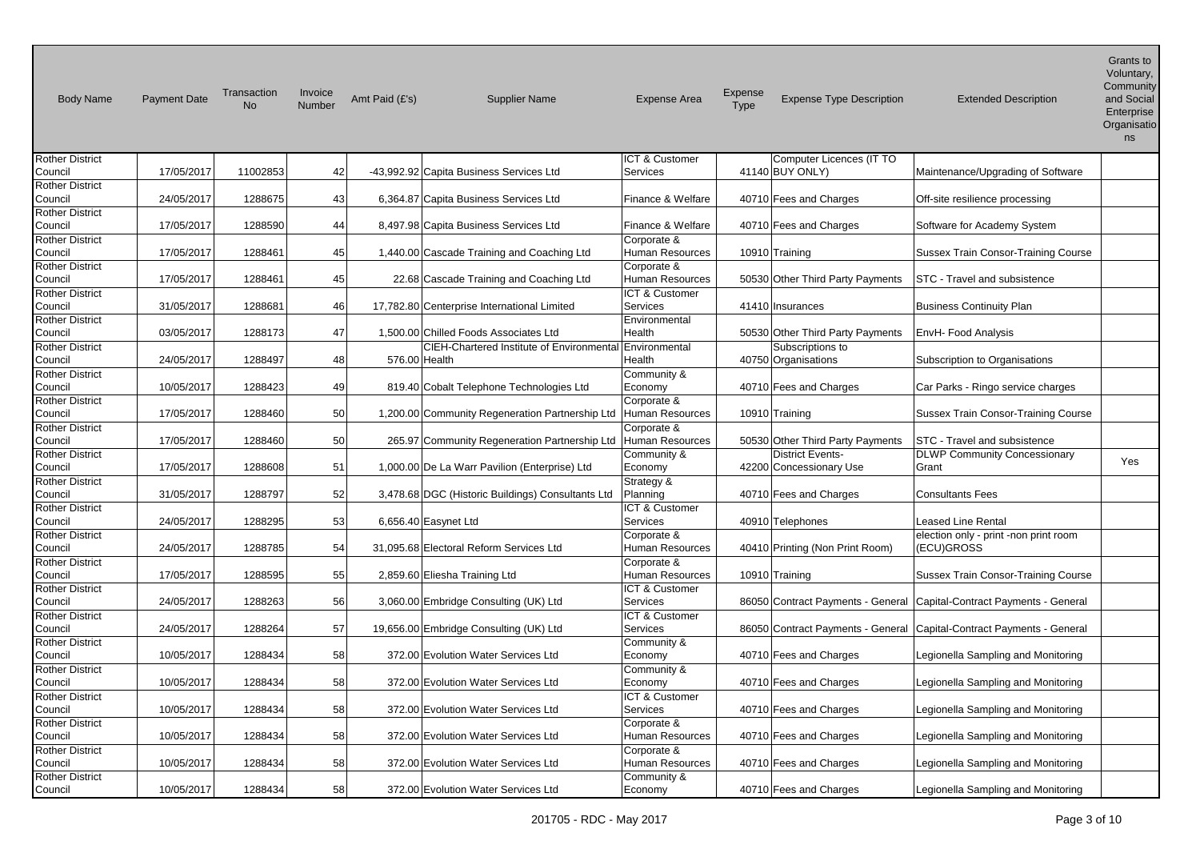| <b>Body Name</b>                  | <b>Payment Date</b> | Transaction<br><b>No</b> | Invoice<br>Number | Amt Paid (£'s) | <b>Supplier Name</b>                                                                             | <b>Expense Area</b>       | Expense<br>Type | <b>Expense Type Description</b>                      | <b>Extended Description</b>                | Grants to<br>Voluntary,<br>Community<br>and Social<br>Enterprise<br>Organisatio<br>ns |
|-----------------------------------|---------------------|--------------------------|-------------------|----------------|--------------------------------------------------------------------------------------------------|---------------------------|-----------------|------------------------------------------------------|--------------------------------------------|---------------------------------------------------------------------------------------|
| <b>Rother District</b>            |                     |                          |                   |                |                                                                                                  | ICT & Customer            |                 | Computer Licences (IT TO                             |                                            |                                                                                       |
| Council                           | 17/05/2017          | 11002853                 | 42                |                | -43,992.92 Capita Business Services Ltd                                                          | Services                  |                 | 41140 BUY ONLY)                                      | Maintenance/Upgrading of Software          |                                                                                       |
| <b>Rother District</b><br>Council | 24/05/2017          | 1288675                  | 43                |                | 6,364.87 Capita Business Services Ltd                                                            | Finance & Welfare         |                 | 40710 Fees and Charges                               | Off-site resilience processing             |                                                                                       |
| <b>Rother District</b>            |                     |                          |                   |                |                                                                                                  |                           |                 |                                                      |                                            |                                                                                       |
| Council                           | 17/05/2017          | 1288590                  | 44                |                | 8,497.98 Capita Business Services Ltd                                                            | Finance & Welfare         |                 | 40710 Fees and Charges                               | Software for Academy System                |                                                                                       |
| <b>Rother District</b>            |                     |                          |                   |                |                                                                                                  | Corporate &               |                 |                                                      |                                            |                                                                                       |
| Council                           | 17/05/2017          | 1288461                  | 45                |                | 1,440.00 Cascade Training and Coaching Ltd                                                       | Human Resources           |                 | 10910 Training                                       | Sussex Train Consor-Training Course        |                                                                                       |
| <b>Rother District</b>            |                     |                          |                   |                |                                                                                                  | Corporate &               |                 |                                                      |                                            |                                                                                       |
| Council                           | 17/05/2017          | 1288461                  | 45                |                | 22.68 Cascade Training and Coaching Ltd                                                          | Human Resources           |                 | 50530 Other Third Party Payments                     | <b>STC - Travel and subsistence</b>        |                                                                                       |
| <b>Rother District</b>            |                     |                          |                   |                |                                                                                                  | ICT & Customer            |                 |                                                      |                                            |                                                                                       |
| Council                           | 31/05/2017          | 1288681                  | 46                |                | 17,782.80 Centerprise International Limited                                                      | Services                  |                 | 41410 Insurances                                     | <b>Business Continuity Plan</b>            |                                                                                       |
| <b>Rother District</b>            | 03/05/2017          | 1288173                  |                   |                |                                                                                                  | Environmental             |                 |                                                      |                                            |                                                                                       |
| Council<br><b>Rother District</b> |                     |                          | 47                |                | 1,500.00 Chilled Foods Associates Ltd<br>CIEH-Chartered Institute of Environmental Environmental | Health                    |                 | 50530 Other Third Party Payments<br>Subscriptions to | EnvH- Food Analysis                        |                                                                                       |
| Council                           | 24/05/2017          | 1288497                  | 48                |                | 576.00 Health                                                                                    | Health                    |                 | 40750 Organisations                                  | Subscription to Organisations              |                                                                                       |
| <b>Rother District</b>            |                     |                          |                   |                |                                                                                                  | Community &               |                 |                                                      |                                            |                                                                                       |
| Council                           | 10/05/2017          | 1288423                  | 49                |                | 819.40 Cobalt Telephone Technologies Ltd                                                         | Economy                   |                 | 40710 Fees and Charges                               | Car Parks - Ringo service charges          |                                                                                       |
| <b>Rother District</b>            |                     |                          |                   |                |                                                                                                  | Corporate &               |                 |                                                      |                                            |                                                                                       |
| Council                           | 17/05/2017          | 1288460                  | 50                |                | 1,200.00 Community Regeneration Partnership Ltd                                                  | Human Resources           |                 | 10910 Training                                       | Sussex Train Consor-Training Course        |                                                                                       |
| <b>Rother District</b>            |                     |                          |                   |                |                                                                                                  | Corporate &               |                 |                                                      |                                            |                                                                                       |
| Council                           | 17/05/2017          | 1288460                  | 50                |                | 265.97 Community Regeneration Partnership Ltd                                                    | Human Resources           |                 | 50530 Other Third Party Payments                     | STC - Travel and subsistence               |                                                                                       |
| <b>Rother District</b>            |                     |                          |                   |                |                                                                                                  | Community &               |                 | <b>District Events-</b>                              | <b>DLWP Community Concessionary</b>        |                                                                                       |
| Council                           | 17/05/2017          | 1288608                  | 51                |                | 1,000.00 De La Warr Pavilion (Enterprise) Ltd                                                    | Economy                   |                 | 42200 Concessionary Use                              | Grant                                      | Yes                                                                                   |
| <b>Rother District</b>            |                     |                          |                   |                |                                                                                                  | Strategy &                |                 |                                                      |                                            |                                                                                       |
| Council                           | 31/05/2017          | 1288797                  | 52                |                | 3,478.68 DGC (Historic Buildings) Consultants Ltd                                                | Planning                  |                 | 40710 Fees and Charges                               | <b>Consultants Fees</b>                    |                                                                                       |
| <b>Rother District</b>            |                     |                          |                   |                |                                                                                                  | <b>ICT &amp; Customer</b> |                 |                                                      |                                            |                                                                                       |
| Council                           | 24/05/2017          | 1288295                  | 53                |                | 6,656.40 Easynet Ltd                                                                             | Services                  |                 | 40910 Telephones                                     | Leased Line Rental                         |                                                                                       |
| <b>Rother District</b>            |                     |                          |                   |                |                                                                                                  | Corporate &               |                 |                                                      | election only - print -non print room      |                                                                                       |
| Council                           | 24/05/2017          | 1288785                  | 54                |                | 31.095.68 Electoral Reform Services Ltd                                                          | <b>Human Resources</b>    |                 | 40410 Printing (Non Print Room)                      | (ECU)GROSS                                 |                                                                                       |
| <b>Rother District</b>            |                     |                          |                   |                |                                                                                                  | Corporate &               |                 |                                                      |                                            |                                                                                       |
| Council                           | 17/05/2017          | 1288595                  | 55                |                | 2,859.60 Eliesha Training Ltd                                                                    | Human Resources           |                 | 10910 Training                                       | <b>Sussex Train Consor-Training Course</b> |                                                                                       |
| <b>Rother District</b>            |                     |                          |                   |                |                                                                                                  | ICT & Customer            |                 |                                                      |                                            |                                                                                       |
| Council                           | 24/05/2017          | 1288263                  | 56                |                | 3,060.00 Embridge Consulting (UK) Ltd                                                            | <b>Services</b>           |                 | 86050 Contract Payments - General                    | Capital-Contract Payments - General        |                                                                                       |
| <b>Rother District</b>            |                     |                          |                   |                |                                                                                                  | ICT & Customer            |                 |                                                      |                                            |                                                                                       |
| Council                           | 24/05/2017          | 1288264                  | 57                |                | 19,656.00 Embridge Consulting (UK) Ltd                                                           | Services                  |                 | 86050 Contract Payments - General                    | Capital-Contract Payments - General        |                                                                                       |
| <b>Rother District</b>            |                     |                          |                   |                |                                                                                                  | Community &               |                 |                                                      |                                            |                                                                                       |
| Council                           | 10/05/2017          | 1288434                  | 58                |                | 372.00 Evolution Water Services Ltd                                                              | Economy                   |                 | 40710 Fees and Charges                               | Legionella Sampling and Monitoring         |                                                                                       |
| <b>Rother District</b>            |                     |                          |                   |                |                                                                                                  | Community &               |                 |                                                      |                                            |                                                                                       |
| Council                           | 10/05/2017          | 1288434                  | 58                |                | 372.00 Evolution Water Services Ltd                                                              | Economy<br>ICT & Customer |                 | 40710 Fees and Charges                               | Legionella Sampling and Monitoring         |                                                                                       |
| <b>Rother District</b><br>Council | 10/05/2017          | 1288434                  | 58                |                | 372.00 Evolution Water Services Ltd                                                              | Services                  |                 | 40710 Fees and Charges                               | egionella Sampling and Monitoring          |                                                                                       |
| <b>Rother District</b>            |                     |                          |                   |                |                                                                                                  | Corporate &               |                 |                                                      |                                            |                                                                                       |
| Council                           | 10/05/2017          | 1288434                  | 58                |                | 372.00 Evolution Water Services Ltd                                                              | Human Resources           |                 | 40710 Fees and Charges                               | Legionella Sampling and Monitoring         |                                                                                       |
| <b>Rother District</b>            |                     |                          |                   |                |                                                                                                  | Corporate &               |                 |                                                      |                                            |                                                                                       |
| Council                           | 10/05/2017          | 1288434                  | 58                |                | 372.00 Evolution Water Services Ltd                                                              | Human Resources           |                 | 40710 Fees and Charges                               | egionella Sampling and Monitoring          |                                                                                       |
| <b>Rother District</b>            |                     |                          |                   |                |                                                                                                  | Community &               |                 |                                                      |                                            |                                                                                       |
| Council                           | 10/05/2017          | 1288434                  | 58                |                | 372.00 Evolution Water Services Ltd                                                              | Economy                   |                 | 40710 Fees and Charges                               | Legionella Sampling and Monitoring         |                                                                                       |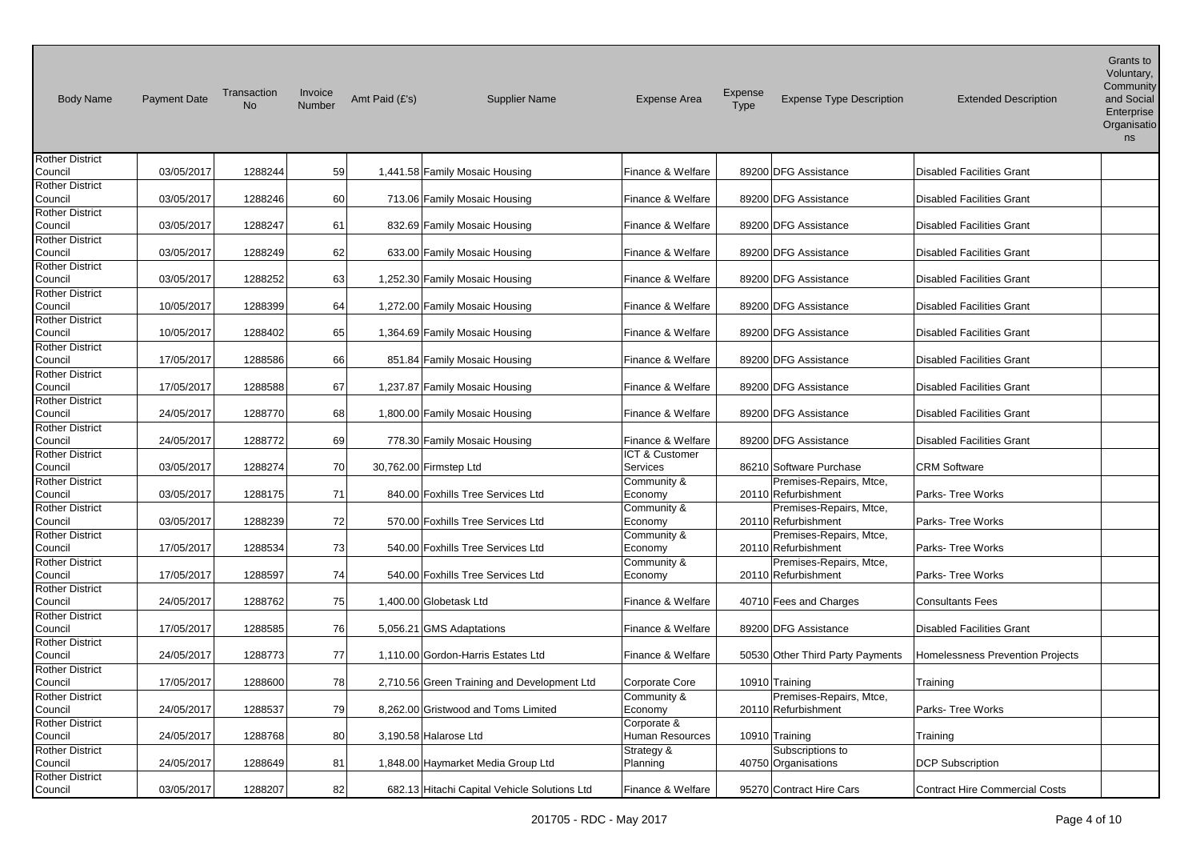| <b>Body Name</b>                  | <b>Payment Date</b> | Transaction<br><b>No</b> | Invoice<br>Number | Amt Paid (£'s)           | <b>Supplier Name</b>                         | <b>Expense Area</b>    | Expense<br>Type | <b>Expense Type Description</b>                | <b>Extended Description</b>           | Grants to<br>Voluntary,<br>Community<br>and Social<br>Enterprise<br>Organisatio<br>ns |
|-----------------------------------|---------------------|--------------------------|-------------------|--------------------------|----------------------------------------------|------------------------|-----------------|------------------------------------------------|---------------------------------------|---------------------------------------------------------------------------------------|
| Rother District                   |                     |                          |                   |                          |                                              |                        |                 |                                                |                                       |                                                                                       |
| Council                           | 03/05/2017          | 1288244                  | 59                |                          | 1,441.58 Family Mosaic Housing               | Finance & Welfare      |                 | 89200 DFG Assistance                           | <b>Disabled Facilities Grant</b>      |                                                                                       |
| <b>Rother District</b><br>Council | 03/05/2017          | 1288246                  | 60                |                          | 713.06 Family Mosaic Housing                 | Finance & Welfare      |                 | 89200 DFG Assistance                           | <b>Disabled Facilities Grant</b>      |                                                                                       |
| <b>Rother District</b>            |                     |                          |                   |                          |                                              |                        |                 |                                                |                                       |                                                                                       |
| Council                           | 03/05/2017          | 1288247                  | 61                |                          | 832.69 Family Mosaic Housing                 | Finance & Welfare      |                 | 89200 DFG Assistance                           | <b>Disabled Facilities Grant</b>      |                                                                                       |
| <b>Rother District</b>            |                     |                          |                   |                          |                                              |                        |                 |                                                |                                       |                                                                                       |
| Council                           | 03/05/2017          | 1288249                  | 62                |                          | 633.00 Family Mosaic Housing                 | Finance & Welfare      |                 | 89200 DFG Assistance                           | <b>Disabled Facilities Grant</b>      |                                                                                       |
| <b>Rother District</b>            |                     |                          |                   |                          |                                              |                        |                 |                                                |                                       |                                                                                       |
| Council                           | 03/05/2017          | 1288252                  | 63                |                          | 1,252.30 Family Mosaic Housing               | Finance & Welfare      |                 | 89200 DFG Assistance                           | <b>Disabled Facilities Grant</b>      |                                                                                       |
| <b>Rother District</b>            |                     |                          |                   |                          |                                              |                        |                 |                                                |                                       |                                                                                       |
| Council                           | 10/05/2017          | 1288399                  | 64                |                          | 1,272.00 Family Mosaic Housing               | Finance & Welfare      |                 | 89200 DFG Assistance                           | <b>Disabled Facilities Grant</b>      |                                                                                       |
| <b>Rother District</b>            |                     |                          |                   |                          |                                              |                        |                 |                                                |                                       |                                                                                       |
| Council<br><b>Rother District</b> | 10/05/2017          | 1288402                  | 65                |                          | 1,364.69 Family Mosaic Housing               | Finance & Welfare      |                 | 89200 DFG Assistance                           | <b>Disabled Facilities Grant</b>      |                                                                                       |
| Council                           | 17/05/2017          | 1288586                  | 66                |                          | 851.84 Family Mosaic Housing                 | Finance & Welfare      |                 | 89200 DFG Assistance                           | <b>Disabled Facilities Grant</b>      |                                                                                       |
| <b>Rother District</b>            |                     |                          |                   |                          |                                              |                        |                 |                                                |                                       |                                                                                       |
| Council                           | 17/05/2017          | 1288588                  | 67                |                          | 1,237.87 Family Mosaic Housing               | Finance & Welfare      |                 | 89200 DFG Assistance                           | <b>Disabled Facilities Grant</b>      |                                                                                       |
| <b>Rother District</b>            |                     |                          |                   |                          |                                              |                        |                 |                                                |                                       |                                                                                       |
| Council                           | 24/05/2017          | 1288770                  | 68                |                          | 1,800.00 Family Mosaic Housing               | Finance & Welfare      |                 | 89200 DFG Assistance                           | <b>Disabled Facilities Grant</b>      |                                                                                       |
| <b>Rother District</b>            |                     |                          |                   |                          |                                              |                        |                 |                                                |                                       |                                                                                       |
| Council                           | 24/05/2017          | 1288772                  | 69                |                          | 778.30 Family Mosaic Housing                 | Finance & Welfare      |                 | 89200 DFG Assistance                           | <b>Disabled Facilities Grant</b>      |                                                                                       |
| <b>Rother District</b>            |                     |                          |                   |                          |                                              | ICT & Customer         |                 |                                                |                                       |                                                                                       |
| Council                           | 03/05/2017          | 1288274                  | 70                | 30,762.00 Firmstep Ltd   |                                              | Services               |                 | 86210 Software Purchase                        | CRM Software                          |                                                                                       |
| <b>Rother District</b>            |                     |                          |                   |                          |                                              | Community &            |                 | Premises-Repairs, Mtce,                        |                                       |                                                                                       |
| Council                           | 03/05/2017          | 1288175                  | 71                |                          | 840.00 Foxhills Tree Services Ltd            | Economy                |                 | 20110 Refurbishment                            | Parks-Tree Works                      |                                                                                       |
| <b>Rother District</b>            |                     |                          |                   |                          |                                              | Community &            |                 | Premises-Repairs, Mtce,                        |                                       |                                                                                       |
| Council                           | 03/05/2017          | 1288239                  | 72                |                          | 570.00 Foxhills Tree Services Ltd            | Economy                |                 | 20110 Refurbishment                            | Parks- Tree Works                     |                                                                                       |
| <b>Rother District</b><br>Council | 17/05/2017          | 1288534                  | 73                |                          | 540.00 Foxhills Tree Services Ltd            | Community &<br>Economy |                 | Premises-Repairs, Mtce,<br>20110 Refurbishment | Parks-Tree Works                      |                                                                                       |
| <b>Rother District</b>            |                     |                          |                   |                          |                                              | Community &            |                 | Premises-Repairs, Mtce,                        |                                       |                                                                                       |
| Council                           | 17/05/2017          | 1288597                  | 74                |                          | 540.00 Foxhills Tree Services Ltd            | Economy                |                 | 20110 Refurbishment                            | Parks- Tree Works                     |                                                                                       |
| <b>Rother District</b>            |                     |                          |                   |                          |                                              |                        |                 |                                                |                                       |                                                                                       |
| Council                           | 24/05/2017          | 1288762                  | 75                | 1,400.00 Globetask Ltd   |                                              | Finance & Welfare      |                 | 40710 Fees and Charges                         | <b>Consultants Fees</b>               |                                                                                       |
| <b>Rother District</b>            |                     |                          |                   |                          |                                              |                        |                 |                                                |                                       |                                                                                       |
| Council                           | 17/05/2017          | 1288585                  | 76                | 5,056.21 GMS Adaptations |                                              | Finance & Welfare      |                 | 89200 DFG Assistance                           | <b>Disabled Facilities Grant</b>      |                                                                                       |
| <b>Rother District</b>            |                     |                          |                   |                          |                                              |                        |                 |                                                |                                       |                                                                                       |
| Council                           | 24/05/2017          | 1288773                  | 77                |                          | 1,110.00 Gordon-Harris Estates Ltd           | Finance & Welfare      |                 | 50530 Other Third Party Payments               | Homelessness Prevention Projects      |                                                                                       |
| <b>Rother District</b>            |                     |                          |                   |                          |                                              |                        |                 |                                                |                                       |                                                                                       |
| Council                           | 17/05/2017          | 1288600                  | 78                |                          | 2,710.56 Green Training and Development Ltd  | Corporate Core         |                 | 10910 Training                                 | Training                              |                                                                                       |
| <b>Rother District</b>            |                     |                          |                   |                          |                                              | Community &            |                 | Premises-Repairs, Mtce,                        |                                       |                                                                                       |
| Council                           | 24/05/2017          | 1288537                  | 79                |                          | 8,262.00 Gristwood and Toms Limited          | Economy                |                 | 20110 Refurbishment                            | Parks- Tree Works                     |                                                                                       |
| <b>Rother District</b>            |                     |                          |                   |                          |                                              | Corporate &            |                 |                                                |                                       |                                                                                       |
| Council                           | 24/05/2017          | 1288768                  | 80                | 3,190.58 Halarose Ltd    |                                              | Human Resources        |                 | 10910 Training                                 | Training                              |                                                                                       |
| <b>Rother District</b><br>Council | 24/05/2017          | 1288649                  | 81                |                          | 1,848.00 Haymarket Media Group Ltd           | Strategy &<br>Planning |                 | Subscriptions to<br>40750 Organisations        | <b>DCP Subscription</b>               |                                                                                       |
| <b>Rother District</b>            |                     |                          |                   |                          |                                              |                        |                 |                                                |                                       |                                                                                       |
| Council                           | 03/05/2017          | 1288207                  | 82                |                          | 682.13 Hitachi Capital Vehicle Solutions Ltd | Finance & Welfare      |                 | 95270 Contract Hire Cars                       | <b>Contract Hire Commercial Costs</b> |                                                                                       |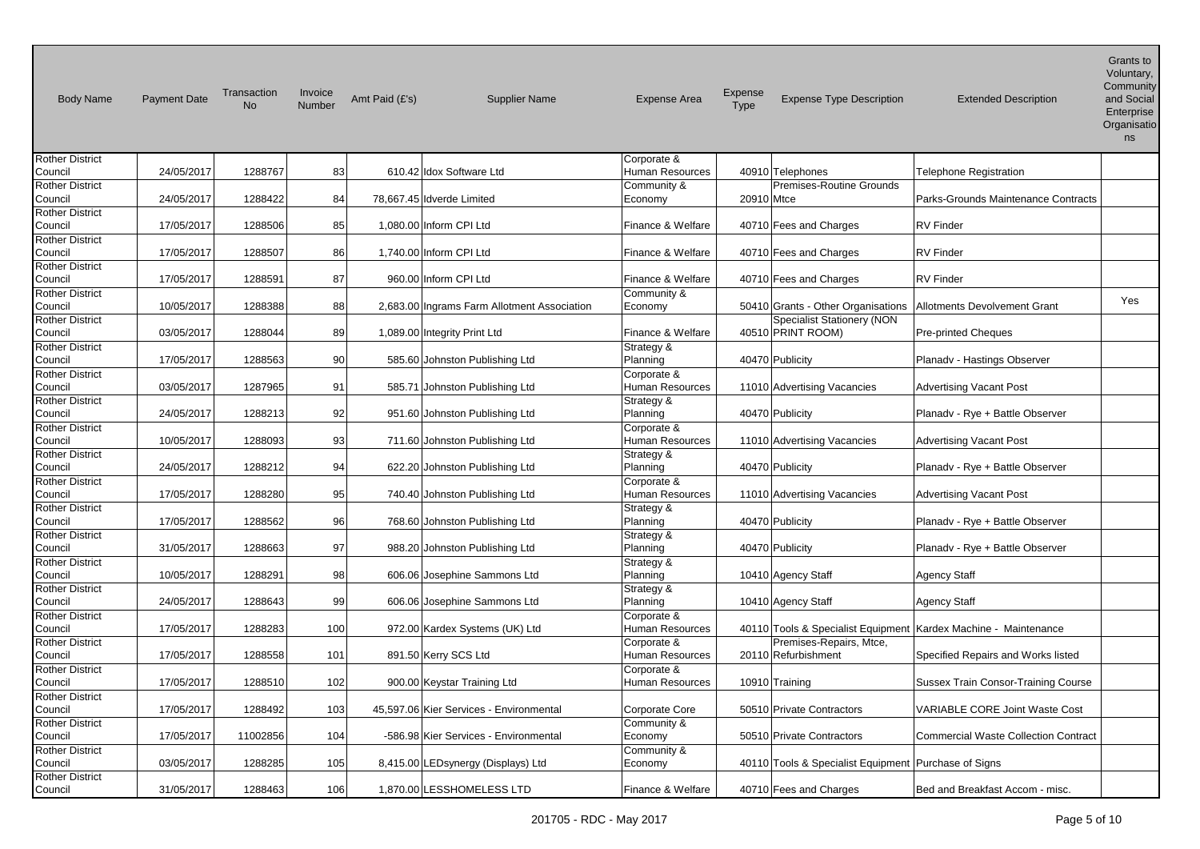| <b>Body Name</b>                  | <b>Payment Date</b> | Transaction<br><b>No</b> | Invoice<br>Number | Amt Paid (£'s) | <b>Supplier Name</b>                        | <b>Expense Area</b>            | <b>Expense</b><br>Type | <b>Expense Type Description</b>                        | <b>Extended Description</b>                                       | Grants to<br>Voluntary,<br>Community<br>and Social<br>Enterprise<br>Organisatio<br>ns |
|-----------------------------------|---------------------|--------------------------|-------------------|----------------|---------------------------------------------|--------------------------------|------------------------|--------------------------------------------------------|-------------------------------------------------------------------|---------------------------------------------------------------------------------------|
| Rother District                   |                     |                          |                   |                |                                             | Corporate &                    |                        |                                                        |                                                                   |                                                                                       |
| Council                           | 24/05/2017          | 1288767                  | 83                |                | 610.42 Idox Software Ltd                    | Human Resources                |                        | 40910 Telephones                                       | Telephone Registration                                            |                                                                                       |
| <b>Rother District</b><br>Council | 24/05/2017          | 1288422                  | 84                |                | 78,667.45 Idverde Limited                   | Community &<br>Economy         | 20910 Mtce             | Premises-Routine Grounds                               | Parks-Grounds Maintenance Contracts                               |                                                                                       |
| <b>Rother District</b><br>Council | 17/05/2017          | 1288506                  | 85                |                | 1,080.00 Inform CPI Ltd                     | Finance & Welfare              |                        | 40710 Fees and Charges                                 | <b>RV</b> Finder                                                  |                                                                                       |
| Rother District                   |                     |                          |                   |                |                                             |                                |                        |                                                        |                                                                   |                                                                                       |
| Council<br>Rother District        | 17/05/2017          | 1288507                  | 86                |                | 1,740.00 Inform CPI Ltd                     | Finance & Welfare              |                        | 40710 Fees and Charges                                 | <b>RV Finder</b>                                                  |                                                                                       |
| Council                           | 17/05/2017          | 1288591                  | 87                |                | 960.00 Inform CPI Ltd                       | Finance & Welfare              |                        | 40710 Fees and Charges                                 | <b>RV Finder</b>                                                  |                                                                                       |
| <b>Rother District</b>            |                     |                          |                   |                |                                             | Community &                    |                        |                                                        |                                                                   | <b>Yes</b>                                                                            |
| Council                           | 10/05/2017          | 1288388                  | 88                |                | 2,683.00 Ingrams Farm Allotment Association | Economy                        |                        | 50410 Grants - Other Organisations                     | <b>Allotments Devolvement Grant</b>                               |                                                                                       |
| <b>Rother District</b><br>Council | 03/05/2017          | 1288044                  | 89                |                | 1,089.00 Integrity Print Ltd                | Finance & Welfare              |                        | <b>Specialist Stationery (NON</b><br>40510 PRINT ROOM) | <b>Pre-printed Cheques</b>                                        |                                                                                       |
| <b>Rother District</b><br>Council | 17/05/2017          | 1288563                  | 90                |                | 585.60 Johnston Publishing Ltd              | Strategy &<br>Planning         |                        | 40470 Publicity                                        | Planadv - Hastings Observer                                       |                                                                                       |
| <b>Rother District</b><br>Council | 03/05/2017          | 1287965                  | 91                |                | 585.71 Johnston Publishing Ltd              | Corporate &<br>Human Resources |                        | 11010 Advertising Vacancies                            | <b>Advertising Vacant Post</b>                                    |                                                                                       |
| <b>Rother District</b><br>Council | 24/05/2017          | 1288213                  | 92                |                | 951.60 Johnston Publishing Ltd              | Strategy &<br>Planning         |                        | 40470 Publicity                                        | Planadv - Rye + Battle Observer                                   |                                                                                       |
| <b>Rother District</b><br>Council | 10/05/2017          | 1288093                  | 93                |                | 711.60 Johnston Publishing Ltd              | Corporate &<br>Human Resources |                        | 11010 Advertising Vacancies                            | <b>Advertising Vacant Post</b>                                    |                                                                                       |
| <b>Rother District</b><br>Council | 24/05/2017          | 1288212                  | 94                |                | 622.20 Johnston Publishing Ltd              | Strategy &<br>Planning         |                        | 40470 Publicity                                        | Planady - Rye + Battle Observer                                   |                                                                                       |
| <b>Rother District</b>            |                     |                          |                   |                |                                             | Corporate &                    |                        |                                                        |                                                                   |                                                                                       |
| Council<br><b>Rother District</b> | 17/05/2017          | 1288280                  | 95                |                | 740.40 Johnston Publishing Ltd              | Human Resources                |                        | 11010 Advertising Vacancies                            | <b>Advertising Vacant Post</b>                                    |                                                                                       |
| Council                           | 17/05/2017          | 1288562                  | 96                |                | 768.60 Johnston Publishing Ltd              | Strategy &<br>Planning         |                        | 40470 Publicity                                        | Planadv - Rye + Battle Observer                                   |                                                                                       |
| <b>Rother District</b><br>Council | 31/05/2017          | 1288663                  | 97                |                | 988.20 Johnston Publishing Ltd              | Strategy &<br>Planning         |                        | 40470 Publicity                                        | Planady - Rye + Battle Observer                                   |                                                                                       |
| <b>Rother District</b><br>Council | 10/05/2017          | 1288291                  | 98                |                | 606.06 Josephine Sammons Ltd                | Strategy &<br>Planning         |                        | 10410 Agency Staff                                     | Agency Staff                                                      |                                                                                       |
| <b>Rother District</b><br>Council | 24/05/2017          | 1288643                  | 99                |                | 606.06 Josephine Sammons Ltd                | Strategy &<br>Planning         |                        | 10410 Agency Staff                                     | Agency Staff                                                      |                                                                                       |
| Rother District<br>Council        | 17/05/2017          | 1288283                  | 100               |                | 972.00 Kardex Systems (UK) Ltd              | Corporate &<br>Human Resources |                        |                                                        | 40110 Tools & Specialist Equipment   Kardex Machine - Maintenance |                                                                                       |
| <b>Rother District</b>            |                     |                          |                   |                |                                             | Corporate &                    |                        | Premises-Repairs, Mtce,                                |                                                                   |                                                                                       |
| Council<br><b>Rother District</b> | 17/05/2017          | 1288558                  | 101               |                | 891.50 Kerry SCS Ltd                        | Human Resources<br>Corporate & |                        | 20110 Refurbishment                                    | Specified Repairs and Works listed                                |                                                                                       |
| Council                           | 17/05/2017          | 1288510                  | 102               |                | 900.00 Keystar Training Ltd                 | <b>Human Resources</b>         |                        | 10910 Training                                         | Sussex Train Consor-Training Course                               |                                                                                       |
| Rother District<br>Council        | 17/05/2017          | 1288492                  | 103               |                | 45,597.06 Kier Services - Environmental     | Corporate Core                 |                        | 50510 Private Contractors                              | VARIABLE CORE Joint Waste Cost                                    |                                                                                       |
| <b>Rother District</b><br>Council | 17/05/2017          | 11002856                 | 104               |                | -586.98 Kier Services - Environmental       | Community &<br>Economy         |                        | 50510 Private Contractors                              | <b>Commercial Waste Collection Contract</b>                       |                                                                                       |
| <b>Rother District</b><br>Council | 03/05/2017          | 1288285                  | 105               |                | 8,415.00 LEDsynergy (Displays) Ltd          | Community &<br>Economy         |                        | 40110 Tools & Specialist Equipment   Purchase of Signs |                                                                   |                                                                                       |
| <b>Rother District</b><br>Council | 31/05/2017          | 1288463                  | 106               |                | 1,870.00 LESSHOMELESS LTD                   | Finance & Welfare              |                        | 40710 Fees and Charges                                 | Bed and Breakfast Accom - misc.                                   |                                                                                       |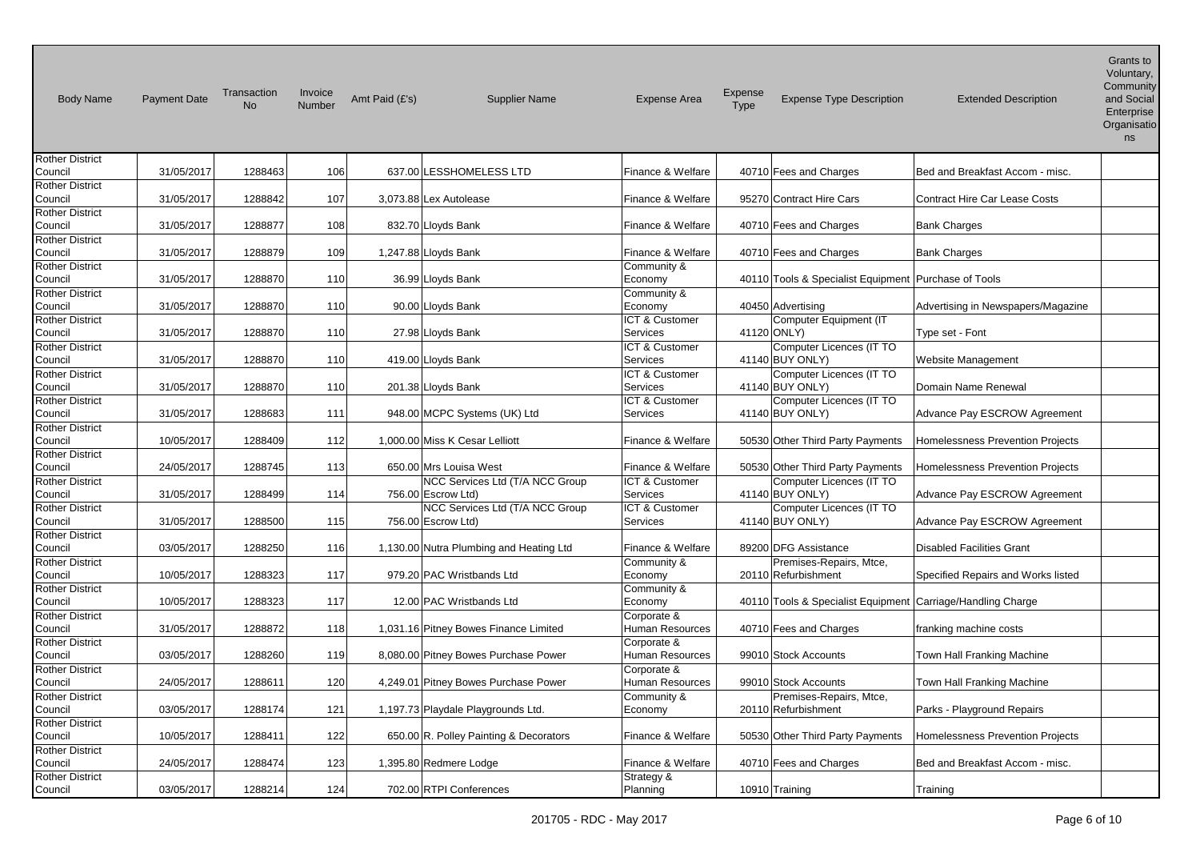| <b>Body Name</b>                  | <b>Payment Date</b> | Transaction<br><b>No</b> | Invoice<br>Number | Amt Paid (£'s) | <b>Supplier Name</b>                    | <b>Expense Area</b>       | Expense<br>Type | <b>Expense Type Description</b>                        | <b>Extended Description</b>             | Grants to<br>Voluntary,<br>Community<br>and Social<br>Enterprise<br>Organisatio<br>ns |
|-----------------------------------|---------------------|--------------------------|-------------------|----------------|-----------------------------------------|---------------------------|-----------------|--------------------------------------------------------|-----------------------------------------|---------------------------------------------------------------------------------------|
| <b>Rother District</b>            |                     |                          |                   |                |                                         |                           |                 |                                                        |                                         |                                                                                       |
| Council                           | 31/05/2017          | 1288463                  | 106               |                | 637.00 LESSHOMELESS LTD                 | Finance & Welfare         |                 | 40710 Fees and Charges                                 | Bed and Breakfast Accom - misc.         |                                                                                       |
| <b>Rother District</b><br>Council | 31/05/2017          | 1288842                  | 107               |                | 3.073.88 Lex Autolease                  | Finance & Welfare         |                 | 95270 Contract Hire Cars                               | <b>Contract Hire Car Lease Costs</b>    |                                                                                       |
| <b>Rother District</b>            |                     |                          |                   |                |                                         |                           |                 |                                                        |                                         |                                                                                       |
| Council                           | 31/05/2017          | 1288877                  | 108               |                | 832.70 Lloyds Bank                      | Finance & Welfare         |                 | 40710 Fees and Charges                                 | <b>Bank Charges</b>                     |                                                                                       |
| <b>Rother District</b>            |                     |                          |                   |                |                                         |                           |                 |                                                        |                                         |                                                                                       |
| Council                           | 31/05/2017          | 1288879                  | 109               |                | 1,247.88 Lloyds Bank                    | Finance & Welfare         |                 | 40710 Fees and Charges                                 | <b>Bank Charges</b>                     |                                                                                       |
| <b>Rother District</b>            |                     |                          |                   |                |                                         | Community &               |                 |                                                        |                                         |                                                                                       |
| Council                           | 31/05/2017          | 1288870                  | 110               |                | 36.99 Lloyds Bank                       | Economy                   |                 | 40110 Tools & Specialist Equipment   Purchase of Tools |                                         |                                                                                       |
| <b>Rother District</b>            |                     |                          |                   |                |                                         | Community &               |                 |                                                        |                                         |                                                                                       |
| Council                           | 31/05/2017          | 1288870                  | 110               |                | 90.00 Lloyds Bank                       | Economy                   |                 | 40450 Advertising                                      | Advertising in Newspapers/Magazine      |                                                                                       |
| <b>Rother District</b>            |                     |                          |                   |                |                                         | ICT & Customer            |                 | Computer Equipment (IT                                 |                                         |                                                                                       |
| Council                           | 31/05/2017          | 1288870                  | 110               |                | 27.98 Lloyds Bank                       | Services                  |                 | 41120 ONLY)                                            | Type set - Font                         |                                                                                       |
| <b>Rother District</b>            |                     |                          |                   |                |                                         | ICT & Customer            |                 | Computer Licences (IT TO                               |                                         |                                                                                       |
| Council                           | 31/05/2017          | 1288870                  | 110               |                | 419.00 Lloyds Bank                      | Services                  |                 | 41140 BUY ONLY)                                        | Website Management                      |                                                                                       |
| <b>Rother District</b>            |                     |                          |                   |                |                                         | ICT & Customer            |                 | Computer Licences (IT TO                               |                                         |                                                                                       |
| Council                           | 31/05/2017          | 1288870                  | 110               |                | 201.38 Lloyds Bank                      | Services                  |                 | 41140 BUY ONLY)                                        | Domain Name Renewal                     |                                                                                       |
| <b>Rother District</b>            |                     |                          |                   |                |                                         | ICT & Customer            |                 | Computer Licences (IT TO                               |                                         |                                                                                       |
| Council                           | 31/05/2017          | 1288683                  | 111               |                | 948.00 MCPC Systems (UK) Ltd            | Services                  |                 | 41140 BUY ONLY)                                        | Advance Pay ESCROW Agreement            |                                                                                       |
| <b>Rother District</b>            |                     |                          |                   |                |                                         |                           |                 |                                                        |                                         |                                                                                       |
| Council                           | 10/05/2017          | 1288409                  | 112               |                | 1,000.00 Miss K Cesar Lelliott          | Finance & Welfare         |                 | 50530 Other Third Party Payments                       | <b>Homelessness Prevention Projects</b> |                                                                                       |
| <b>Rother District</b>            |                     |                          |                   |                |                                         |                           |                 |                                                        |                                         |                                                                                       |
| Council                           | 24/05/2017          | 1288745                  | 113               |                | 650.00 Mrs Louisa West                  | Finance & Welfare         |                 | 50530 Other Third Party Payments                       | <b>Homelessness Prevention Projects</b> |                                                                                       |
| <b>Rother District</b>            |                     |                          |                   |                | NCC Services Ltd (T/A NCC Group         | <b>ICT &amp; Customer</b> |                 | Computer Licences (IT TO                               |                                         |                                                                                       |
| Council                           | 31/05/2017          | 1288499                  | 114               |                | 756.00 Escrow Ltd)                      | Services                  |                 | 41140 BUY ONLY)                                        | Advance Pay ESCROW Agreement            |                                                                                       |
| <b>Rother District</b>            |                     |                          |                   |                | NCC Services Ltd (T/A NCC Group         | ICT & Customer            |                 | Computer Licences (IT TO                               |                                         |                                                                                       |
| Council                           | 31/05/2017          | 1288500                  | 115               |                | 756.00 Escrow Ltd)                      | Services                  |                 | 41140 BUY ONLY)                                        | Advance Pay ESCROW Agreement            |                                                                                       |
| <b>Rother District</b>            |                     |                          |                   |                |                                         |                           |                 |                                                        |                                         |                                                                                       |
| Council                           | 03/05/2017          | 1288250                  | 116               |                | 1,130.00 Nutra Plumbing and Heating Ltd | Finance & Welfare         |                 | 89200 DFG Assistance                                   | <b>Disabled Facilities Grant</b>        |                                                                                       |
| <b>Rother District</b>            |                     |                          |                   |                |                                         | Community &               |                 | Premises-Repairs, Mtce,                                |                                         |                                                                                       |
| Council                           | 10/05/2017          | 1288323                  | 117               |                | 979.20 PAC Wristbands Ltd               | Economy                   |                 | 20110 Refurbishment                                    | Specified Repairs and Works listed      |                                                                                       |
| <b>Rother District</b>            |                     |                          |                   |                |                                         | Community &               |                 |                                                        |                                         |                                                                                       |
| Council                           | 10/05/2017          | 1288323                  | 117               |                | 12.00 PAC Wristbands Ltd                | Economy                   |                 | 40110 Tools & Specialist Equipment                     | Carriage/Handling Charge                |                                                                                       |
| <b>Rother District</b>            |                     |                          |                   |                |                                         | Corporate &               |                 |                                                        |                                         |                                                                                       |
| Council                           | 31/05/2017          | 1288872                  | 118               |                | 1,031.16 Pitney Bowes Finance Limited   | Human Resources           |                 | 40710 Fees and Charges                                 | franking machine costs                  |                                                                                       |
| <b>Rother District</b>            |                     |                          |                   |                |                                         | Corporate &               |                 |                                                        |                                         |                                                                                       |
| Council                           | 03/05/2017          | 1288260                  | 119               |                | 8,080.00 Pitney Bowes Purchase Power    | Human Resources           |                 | 99010 Stock Accounts                                   | Town Hall Franking Machine              |                                                                                       |
| <b>Rother District</b>            |                     |                          |                   |                |                                         | Corporate &               |                 |                                                        |                                         |                                                                                       |
| Council                           | 24/05/2017          | 1288611                  | 120               |                | 4,249.01 Pitney Bowes Purchase Power    | Human Resources           |                 | 99010 Stock Accounts                                   | Town Hall Franking Machine              |                                                                                       |
| <b>Rother District</b>            |                     |                          |                   |                |                                         | Community &               |                 | Premises-Repairs, Mtce,                                |                                         |                                                                                       |
| Council                           | 03/05/2017          | 1288174                  | 121               |                | 1,197.73 Playdale Playgrounds Ltd.      | Economy                   |                 | 20110 Refurbishment                                    | Parks - Playground Repairs              |                                                                                       |
| <b>Rother District</b>            |                     |                          |                   |                |                                         |                           |                 |                                                        |                                         |                                                                                       |
| Council                           | 10/05/2017          | 1288411                  | 122               |                | 650.00 R. Polley Painting & Decorators  | Finance & Welfare         |                 | 50530 Other Third Party Payments                       | <b>Homelessness Prevention Projects</b> |                                                                                       |
|                                   |                     |                          |                   |                |                                         |                           |                 |                                                        |                                         |                                                                                       |
| <b>Rother District</b>            |                     |                          |                   |                |                                         |                           |                 |                                                        |                                         |                                                                                       |
| Council                           | 24/05/2017          | 1288474                  | 123               |                | 1,395.80 Redmere Lodge                  | Finance & Welfare         |                 | 40710 Fees and Charges                                 | Bed and Breakfast Accom - misc.         |                                                                                       |
| <b>Rother District</b>            |                     |                          |                   |                |                                         | Strategy &                |                 |                                                        |                                         |                                                                                       |
| Council                           | 03/05/2017          | 1288214                  | 124               |                | 702.00 RTPI Conferences                 | Planning                  |                 | 10910 Training                                         | Training                                |                                                                                       |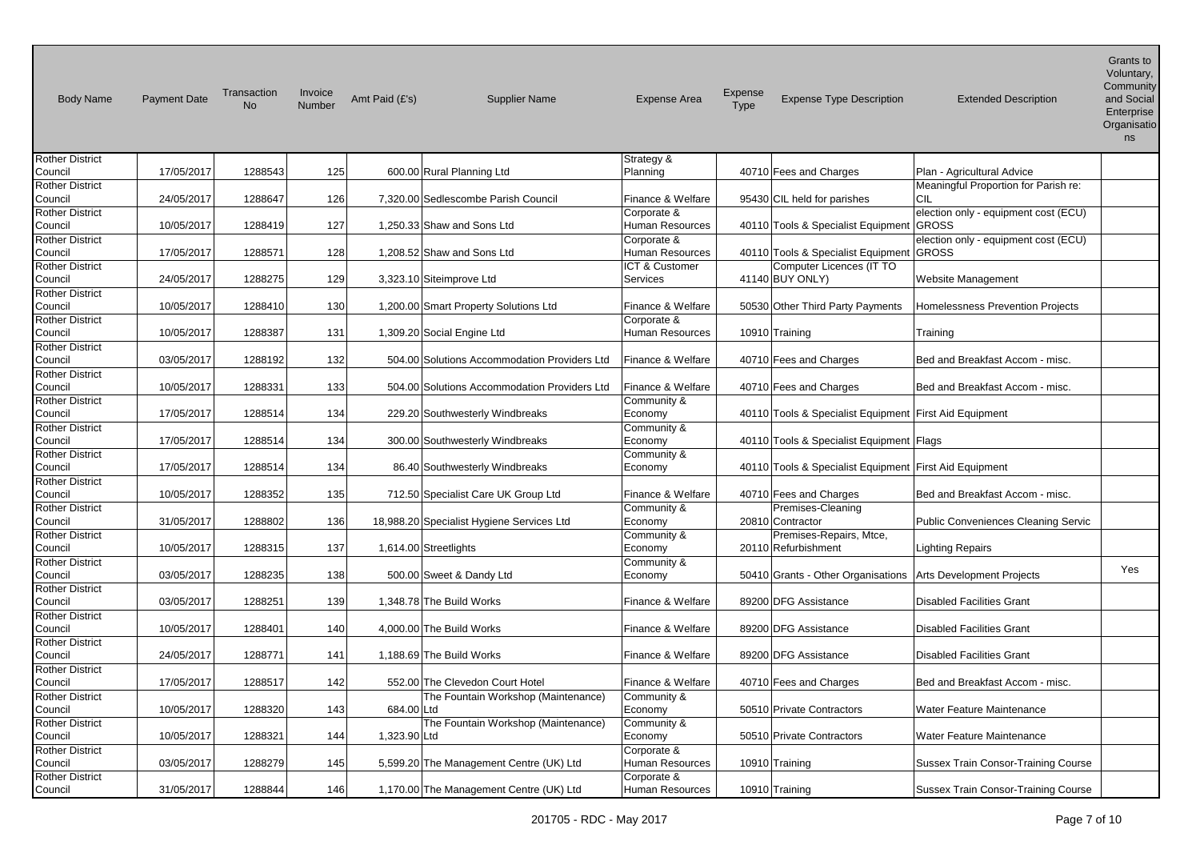| <b>Body Name</b>                  | <b>Payment Date</b> | Transaction<br><b>No</b> | Invoice<br>Number | Amt Paid (£'s) | <b>Supplier Name</b>                         | <b>Expense Area</b>              | Expense<br>Type | <b>Expense Type Description</b>                        | <b>Extended Description</b>                | Grants to<br>Voluntary,<br>Community<br>and Social<br>Enterprise<br>Organisatio<br>ns |
|-----------------------------------|---------------------|--------------------------|-------------------|----------------|----------------------------------------------|----------------------------------|-----------------|--------------------------------------------------------|--------------------------------------------|---------------------------------------------------------------------------------------|
| <b>Rother District</b>            |                     |                          |                   |                |                                              | Strategy &                       |                 |                                                        |                                            |                                                                                       |
| Council                           | 17/05/2017          | 1288543                  | 125               |                | 600.00 Rural Planning Ltd                    | Planning                         |                 | 40710 Fees and Charges                                 | Plan - Agricultural Advice                 |                                                                                       |
| <b>Rother District</b>            |                     |                          |                   |                |                                              |                                  |                 |                                                        | Meaningful Proportion for Parish re:       |                                                                                       |
| Council                           | 24/05/2017          | 1288647                  | 126               |                | 7,320.00 Sedlescombe Parish Council          | Finance & Welfare                |                 | 95430 CIL held for parishes                            | CIL                                        |                                                                                       |
| <b>Rother District</b>            |                     |                          |                   |                |                                              | Corporate &                      |                 |                                                        | election only - equipment cost (ECU)       |                                                                                       |
| Council                           | 10/05/2017          | 1288419                  | 127               |                | 1,250.33 Shaw and Sons Ltd                   | Human Resources                  |                 | 40110 Tools & Specialist Equipment                     | GROSS                                      |                                                                                       |
| <b>Rother District</b>            |                     |                          |                   |                |                                              | Corporate &                      |                 |                                                        | election only - equipment cost (ECU)       |                                                                                       |
| Council                           | 17/05/2017          | 1288571                  | 128               |                | 1,208.52 Shaw and Sons Ltd                   | Human Resources                  |                 | 40110 Tools & Specialist Equipment                     | GROSS                                      |                                                                                       |
| <b>Rother District</b>            |                     |                          |                   |                |                                              | ICT & Customer                   |                 | Computer Licences (IT TO                               |                                            |                                                                                       |
| Council                           | 24/05/2017          | 1288275                  | 129               |                | 3,323.10 Siteimprove Ltd                     | Services                         |                 | 41140 BUY ONLY)                                        | Website Management                         |                                                                                       |
| <b>Rother District</b>            |                     |                          |                   |                |                                              |                                  |                 |                                                        |                                            |                                                                                       |
| Council                           | 10/05/2017          | 1288410                  | 130               |                | 1,200.00 Smart Property Solutions Ltd        | Finance & Welfare                |                 | 50530 Other Third Party Payments                       | Homelessness Prevention Projects           |                                                                                       |
| <b>Rother District</b>            |                     |                          |                   |                |                                              | Corporate &                      |                 |                                                        |                                            |                                                                                       |
| Council                           | 10/05/2017          | 1288387                  | 131               |                | 1,309.20 Social Engine Ltd                   | Human Resources                  |                 | 10910 Training                                         | Training                                   |                                                                                       |
| <b>Rother District</b>            |                     |                          |                   |                |                                              |                                  |                 |                                                        |                                            |                                                                                       |
| Council                           | 03/05/2017          | 1288192                  | 132               |                | 504.00 Solutions Accommodation Providers Ltd | Finance & Welfare                |                 | 40710 Fees and Charges                                 | Bed and Breakfast Accom - misc.            |                                                                                       |
| <b>Rother District</b>            |                     |                          |                   |                |                                              |                                  |                 |                                                        |                                            |                                                                                       |
| Council                           | 10/05/2017          | 1288331                  | 133               |                | 504.00 Solutions Accommodation Providers Ltd | Finance & Welfare                |                 | 40710 Fees and Charges                                 | Bed and Breakfast Accom - misc.            |                                                                                       |
| <b>Rother District</b>            |                     |                          |                   |                |                                              | Community &                      |                 |                                                        |                                            |                                                                                       |
| Council                           | 17/05/2017          | 1288514                  | 134               |                | 229.20 Southwesterly Windbreaks              | Economy                          |                 | 40110 Tools & Specialist Equipment First Aid Equipment |                                            |                                                                                       |
| <b>Rother District</b>            |                     |                          |                   |                |                                              | Community &                      |                 |                                                        |                                            |                                                                                       |
| Council                           | 17/05/2017          | 1288514                  | 134               |                | 300.00 Southwesterly Windbreaks              | Economy                          |                 | 40110 Tools & Specialist Equipment   Flags             |                                            |                                                                                       |
| <b>Rother District</b>            |                     |                          |                   |                |                                              | Community &                      |                 |                                                        |                                            |                                                                                       |
| Council                           | 17/05/2017          | 1288514                  | 134               |                | 86.40 Southwesterly Windbreaks               | Economy                          |                 | 40110 Tools & Specialist Equipment First Aid Equipment |                                            |                                                                                       |
| <b>Rother District</b>            |                     |                          | 135               |                |                                              |                                  |                 |                                                        | Bed and Breakfast Accom - misc.            |                                                                                       |
| Council<br><b>Rother District</b> | 10/05/2017          | 1288352                  |                   |                | 712.50 Specialist Care UK Group Ltd          | Finance & Welfare<br>Community & |                 | 40710 Fees and Charges<br>Premises-Cleaning            |                                            |                                                                                       |
| Council                           | 31/05/2017          | 1288802                  | 136               |                | 18,988.20 Specialist Hygiene Services Ltd    | Economy                          |                 | 20810 Contractor                                       | <b>Public Conveniences Cleaning Servic</b> |                                                                                       |
| <b>Rother District</b>            |                     |                          |                   |                |                                              | Community &                      |                 | Premises-Repairs, Mtce,                                |                                            |                                                                                       |
| Council                           | 10/05/2017          | 1288315                  | 137               |                | 1,614.00 Streetlights                        | Economy                          |                 | 20110 Refurbishment                                    | Lighting Repairs                           |                                                                                       |
| <b>Rother District</b>            |                     |                          |                   |                |                                              | Community &                      |                 |                                                        |                                            |                                                                                       |
| Council                           | 03/05/2017          | 1288235                  | 138               |                | 500.00 Sweet & Dandy Ltd                     | Economy                          |                 | 50410 Grants - Other Organisations                     | Arts Development Projects                  | Yes                                                                                   |
| <b>Rother District</b>            |                     |                          |                   |                |                                              |                                  |                 |                                                        |                                            |                                                                                       |
| Council                           | 03/05/2017          | 1288251                  | 139               |                | 1,348.78 The Build Works                     | Finance & Welfare                |                 | 89200 DFG Assistance                                   | <b>Disabled Facilities Grant</b>           |                                                                                       |
| <b>Rother District</b>            |                     |                          |                   |                |                                              |                                  |                 |                                                        |                                            |                                                                                       |
| Council                           | 10/05/2017          | 1288401                  | 140               |                | 4,000.00 The Build Works                     | Finance & Welfare                |                 | 89200 DFG Assistance                                   | <b>Disabled Facilities Grant</b>           |                                                                                       |
| <b>Rother District</b>            |                     |                          |                   |                |                                              |                                  |                 |                                                        |                                            |                                                                                       |
| Council                           | 24/05/2017          | 1288771                  | 141               |                | 1,188.69 The Build Works                     | Finance & Welfare                |                 | 89200 DFG Assistance                                   | <b>Disabled Facilities Grant</b>           |                                                                                       |
| <b>Rother District</b>            |                     |                          |                   |                |                                              |                                  |                 |                                                        |                                            |                                                                                       |
| Council                           | 17/05/2017          | 1288517                  | 142               |                | 552.00 The Clevedon Court Hotel              | Finance & Welfare                |                 | 40710 Fees and Charges                                 | Bed and Breakfast Accom - misc.            |                                                                                       |
| <b>Rother District</b>            |                     |                          |                   |                | The Fountain Workshop (Maintenance)          | Community &                      |                 |                                                        |                                            |                                                                                       |
| Council                           | 10/05/2017          | 1288320                  | 143               | 684.00 Ltd     |                                              | Economy                          |                 | 50510 Private Contractors                              | Water Feature Maintenance                  |                                                                                       |
| <b>Rother District</b>            |                     |                          |                   |                | The Fountain Workshop (Maintenance)          | Community &                      |                 |                                                        |                                            |                                                                                       |
| Council                           | 10/05/2017          | 1288321                  | 144               | 1,323.90 Ltd   |                                              | Economy                          |                 | 50510 Private Contractors                              | Water Feature Maintenance                  |                                                                                       |
| <b>Rother District</b>            |                     |                          |                   |                |                                              | Corporate &                      |                 |                                                        |                                            |                                                                                       |
| Council                           | 03/05/2017          | 1288279                  | 145               |                | 5,599.20 The Management Centre (UK) Ltd      | Human Resources                  |                 | 10910 Training                                         | <b>Sussex Train Consor-Training Course</b> |                                                                                       |
| <b>Rother District</b>            |                     |                          |                   |                |                                              | Corporate &                      |                 |                                                        |                                            |                                                                                       |
| Council                           | 31/05/2017          | 1288844                  | 146               |                | 1,170.00 The Management Centre (UK) Ltd      | Human Resources                  |                 | 10910 Training                                         | <b>Sussex Train Consor-Training Course</b> |                                                                                       |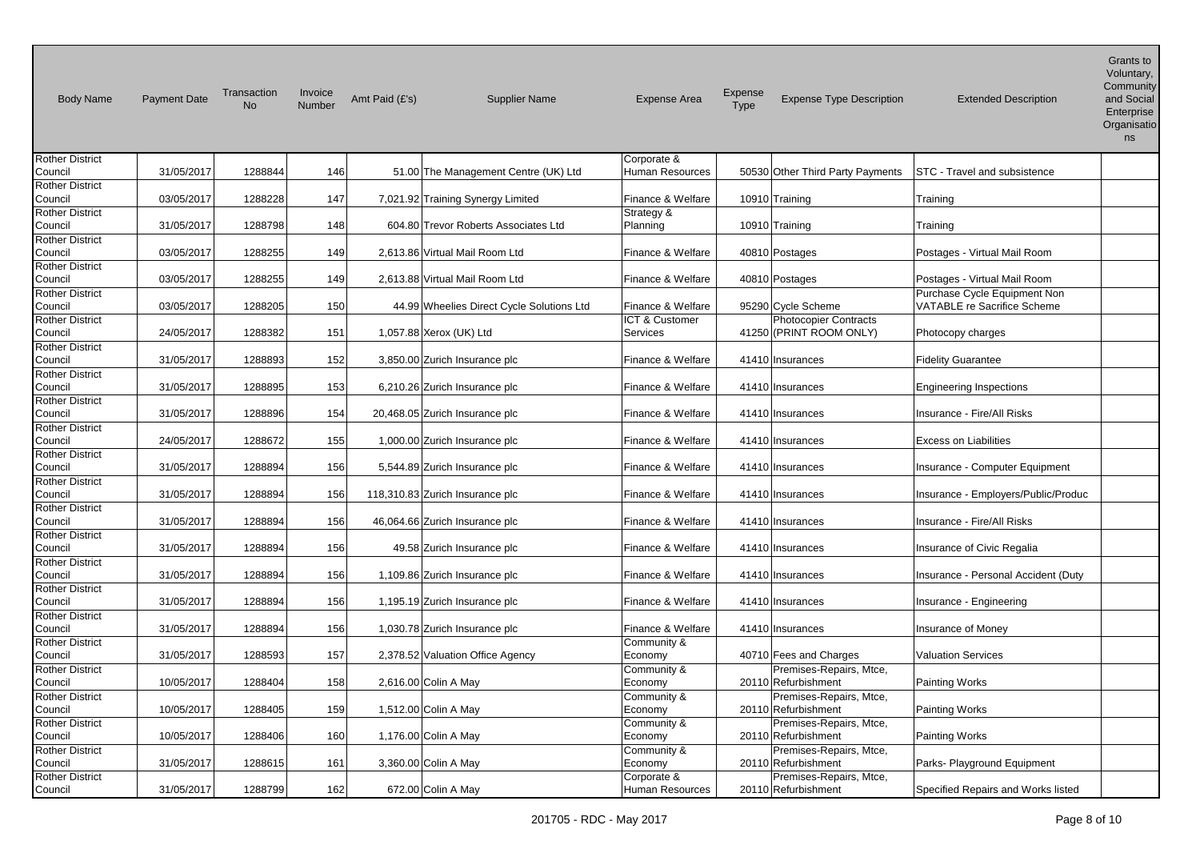| <b>Body Name</b>                  | <b>Payment Date</b> | Transaction<br><b>No</b> | Invoice<br>Number | Amt Paid (£'s) | <b>Supplier Name</b>                      | <b>Expense Area</b>            | <b>Expense</b><br>Type | <b>Expense Type Description</b>                         | <b>Extended Description</b>                                        | Voluntary,<br>Community<br>and Social<br>Enterprise<br>Organisatio<br>ns |
|-----------------------------------|---------------------|--------------------------|-------------------|----------------|-------------------------------------------|--------------------------------|------------------------|---------------------------------------------------------|--------------------------------------------------------------------|--------------------------------------------------------------------------|
| <b>Rother District</b><br>Council | 31/05/2017          | 1288844                  | 146               |                | 51.00 The Management Centre (UK) Ltd      | Corporate &<br>Human Resources |                        | 50530 Other Third Party Payments                        | <b>STC - Travel and subsistence</b>                                |                                                                          |
| <b>Rother District</b><br>Council | 03/05/2017          | 1288228                  | 147               |                | 7,021.92 Training Synergy Limited         | Finance & Welfare              |                        | 10910 Training                                          | Training                                                           |                                                                          |
| <b>Rother District</b><br>Council | 31/05/2017          | 1288798                  | 148               |                | 604.80 Trevor Roberts Associates Ltd      | Strategy &<br>Planning         |                        | 10910 Training                                          | Training                                                           |                                                                          |
| <b>Rother District</b><br>Council | 03/05/2017          | 1288255                  | 149               |                | 2,613.86 Virtual Mail Room Ltd            | Finance & Welfare              |                        | 40810 Postages                                          | Postages - Virtual Mail Room                                       |                                                                          |
| <b>Rother District</b><br>Council | 03/05/2017          | 1288255                  | 149               |                | 2,613.88 Virtual Mail Room Ltd            | Finance & Welfare              |                        | 40810 Postages                                          | Postages - Virtual Mail Room                                       |                                                                          |
| <b>Rother District</b><br>Council | 03/05/2017          | 1288205                  | 150               |                | 44.99 Wheelies Direct Cycle Solutions Ltd | Finance & Welfare              |                        | 95290 Cycle Scheme                                      | Purchase Cycle Equipment Non<br><b>VATABLE re Sacrifice Scheme</b> |                                                                          |
| <b>Rother District</b><br>Council | 24/05/2017          | 1288382                  | 151               |                | 1,057.88 Xerox (UK) Ltd                   | ICT & Customer<br>Services     |                        | <b>Photocopier Contracts</b><br>41250 (PRINT ROOM ONLY) | Photocopy charges                                                  |                                                                          |
| <b>Rother District</b><br>Council | 31/05/2017          | 1288893                  | 152               |                | 3,850.00 Zurich Insurance plc             | Finance & Welfare              |                        | 41410 Insurances                                        | <b>Fidelity Guarantee</b>                                          |                                                                          |
| <b>Rother District</b><br>Council | 31/05/2017          | 1288895                  | 153               |                | 6,210.26 Zurich Insurance plc             | Finance & Welfare              |                        | 41410 Insurances                                        | <b>Engineering Inspections</b>                                     |                                                                          |
| <b>Rother District</b><br>Council | 31/05/2017          | 1288896                  | 154               |                | 20,468.05 Zurich Insurance plc            | Finance & Welfare              |                        | 41410 Insurances                                        | Insurance - Fire/All Risks                                         |                                                                          |
| <b>Rother District</b><br>Council | 24/05/2017          | 1288672                  | 155               |                | 1,000.00 Zurich Insurance plc             | Finance & Welfare              |                        | 41410 Insurances                                        | <b>Excess on Liabilities</b>                                       |                                                                          |
| <b>Rother District</b><br>Council | 31/05/2017          | 1288894                  | 156               |                | 5,544.89 Zurich Insurance plc             | Finance & Welfare              |                        | 41410 Insurances                                        | Insurance - Computer Equipment                                     |                                                                          |
| <b>Rother District</b><br>Council | 31/05/2017          | 1288894                  | 156               |                | 118,310.83 Zurich Insurance plc           | Finance & Welfare              |                        | 41410 Insurances                                        | Insurance - Employers/Public/Produc                                |                                                                          |
| <b>Rother District</b><br>Council | 31/05/2017          | 1288894                  | 156               |                | 46,064.66 Zurich Insurance plc            | Finance & Welfare              |                        | 41410 Insurances                                        | Insurance - Fire/All Risks                                         |                                                                          |
| <b>Rother District</b><br>Council | 31/05/2017          | 1288894                  | 156               |                | 49.58 Zurich Insurance plc                | Finance & Welfare              |                        | 41410 Insurances                                        | Insurance of Civic Regalia                                         |                                                                          |
| <b>Rother District</b><br>Council | 31/05/2017          | 1288894                  | 156               |                | 1,109.86 Zurich Insurance plc             | Finance & Welfare              |                        | 41410 Insurances                                        | Insurance - Personal Accident (Duty                                |                                                                          |
| <b>Rother District</b><br>Council | 31/05/2017          | 1288894                  | 156               |                | 1,195.19 Zurich Insurance plc             | Finance & Welfare              |                        | 41410 Insurances                                        | Insurance - Engineering                                            |                                                                          |
| <b>Rother District</b><br>Council | 31/05/2017          | 1288894                  | 156               |                | 1,030.78 Zurich Insurance plc             | Finance & Welfare              |                        | 41410 Insurances                                        | Insurance of Money                                                 |                                                                          |
| <b>Rother District</b><br>Council | 31/05/2017          | 1288593                  | 157               |                | 2,378.52 Valuation Office Agency          | Community &<br>Economy         |                        | 40710 Fees and Charges                                  | <b>Valuation Services</b>                                          |                                                                          |
| <b>Rother District</b><br>Council | 10/05/2017          | 1288404                  | 158               |                | 2,616.00 Colin A May                      | Community &<br>Economy         |                        | Premises-Repairs, Mtce,<br>20110 Refurbishment          | <b>Painting Works</b>                                              |                                                                          |
| <b>Rother District</b><br>Council | 10/05/2017          | 1288405                  | 159               |                | 1,512.00 Colin A May                      | Community &<br>Economy         |                        | Premises-Repairs, Mtce,<br>20110 Refurbishment          | <b>Painting Works</b>                                              |                                                                          |
| <b>Rother District</b><br>Council | 10/05/2017          | 1288406                  | 160               |                | 1,176.00 Colin A May                      | Community &<br>Economy         |                        | Premises-Repairs, Mtce,<br>20110 Refurbishment          | <b>Painting Works</b>                                              |                                                                          |
| <b>Rother District</b><br>Council | 31/05/2017          | 1288615                  | 161               |                | 3,360.00 Colin A May                      | Community &<br>Economy         |                        | Premises-Repairs, Mtce,<br>20110 Refurbishment          | Parks- Playground Equipment                                        |                                                                          |
| <b>Rother District</b><br>Council | 31/05/2017          | 1288799                  | 162               |                | 672.00 Colin A May                        | Corporate &<br>Human Resources |                        | Premises-Repairs, Mtce,<br>20110 Refurbishment          | Specified Repairs and Works listed                                 |                                                                          |

Grants to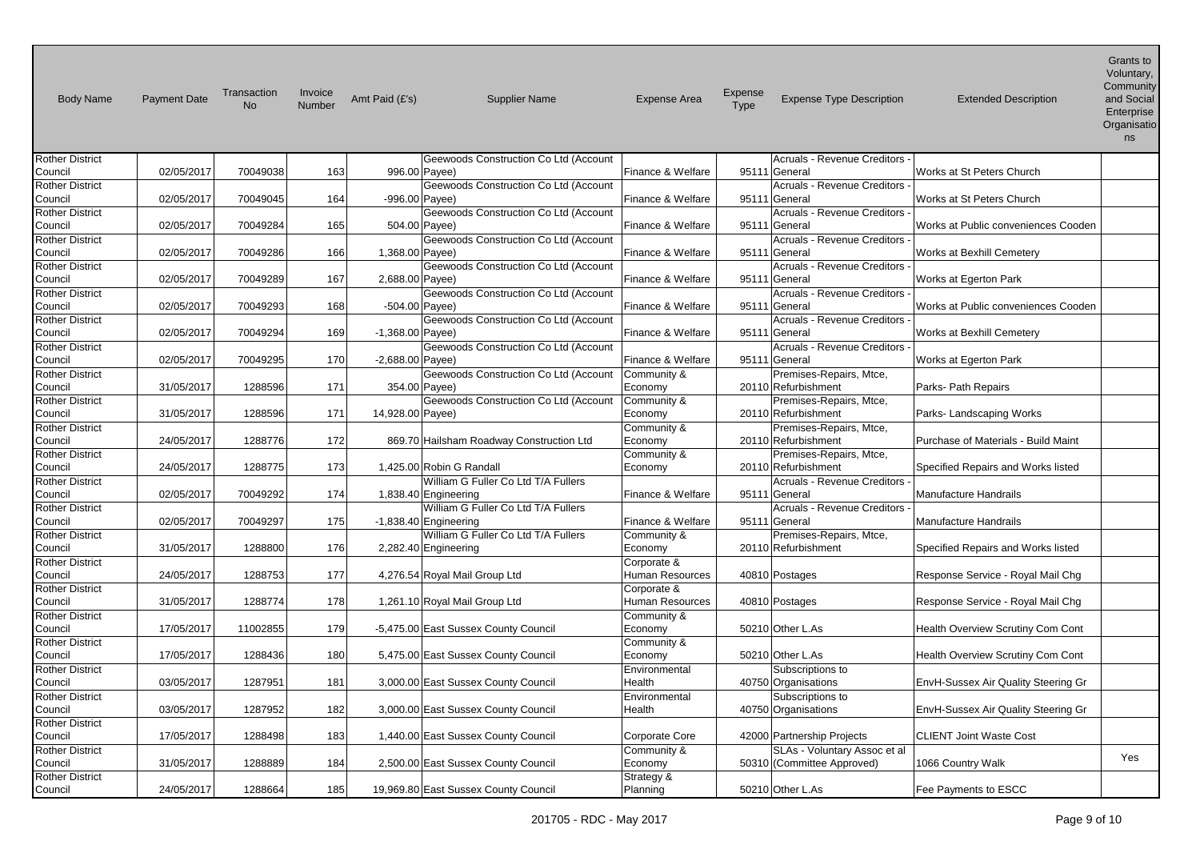| <b>Body Name</b>                  | <b>Payment Date</b> | Transaction<br>No. | Invoice<br>Number | Amt Paid (£'s)     | <b>Supplier Name</b>                                           | <b>Expense Area</b>      | Expense<br><b>Type</b> | <b>Expense Type Description</b>                     | <b>Extended Description</b>         | Voluntary,<br>Community<br>and Social<br>Enterprise<br>Organisatio<br>ns |
|-----------------------------------|---------------------|--------------------|-------------------|--------------------|----------------------------------------------------------------|--------------------------|------------------------|-----------------------------------------------------|-------------------------------------|--------------------------------------------------------------------------|
| <b>Rother District</b>            |                     |                    |                   |                    | Geewoods Construction Co Ltd (Account                          |                          |                        | <b>Acruals - Revenue Creditors</b>                  |                                     |                                                                          |
| Council                           | 02/05/2017          | 70049038           | 163               |                    | 996.00 Payee)                                                  | Finance & Welfare        |                        | 95111 General                                       | Works at St Peters Church           |                                                                          |
| <b>Rother District</b>            | 02/05/2017          | 70049045           | 164               |                    | Geewoods Construction Co Ltd (Account                          | Finance & Welfare        |                        | <b>Acruals - Revenue Creditors</b><br>95111 General | Works at St Peters Church           |                                                                          |
| Council<br><b>Rother District</b> |                     |                    |                   |                    | -996.00 Payee)<br>Geewoods Construction Co Ltd (Account        |                          |                        | <b>Acruals - Revenue Creditors</b>                  |                                     |                                                                          |
| Council                           | 02/05/2017          | 70049284           | 165               |                    | 504.00 Payee)                                                  | Finance & Welfare        |                        | 95111 General                                       | Works at Public conveniences Cooden |                                                                          |
| <b>Rother District</b>            |                     |                    |                   |                    | Geewoods Construction Co Ltd (Account                          |                          |                        | <b>Acruals - Revenue Creditors</b>                  |                                     |                                                                          |
| Council                           | 02/05/2017          | 70049286           | 166               | 1,368.00 Payee)    |                                                                | Finance & Welfare        |                        | 95111 General                                       | Works at Bexhill Cemetery           |                                                                          |
| <b>Rother District</b>            |                     |                    |                   |                    | Geewoods Construction Co Ltd (Account                          |                          |                        | Acruals - Revenue Creditors                         |                                     |                                                                          |
| Council                           | 02/05/2017          | 70049289           | 167               | 2,688.00 Payee)    |                                                                | Finance & Welfare        |                        | 95111 General                                       | Works at Egerton Park               |                                                                          |
| <b>Rother District</b>            |                     |                    |                   |                    | Geewoods Construction Co Ltd (Account                          |                          |                        | <b>Acruals - Revenue Creditors</b>                  |                                     |                                                                          |
| Council                           | 02/05/2017          | 70049293           | 168               | -504.00 Payee)     |                                                                | Finance & Welfare        |                        | 95111 General                                       | Works at Public conveniences Cooden |                                                                          |
| <b>Rother District</b>            |                     |                    |                   |                    | Geewoods Construction Co Ltd (Account                          |                          |                        | Acruals - Revenue Creditors                         |                                     |                                                                          |
| Council                           | 02/05/2017          | 70049294           | 169               | $-1,368.00$ Payee) |                                                                | Finance & Welfare        |                        | 95111 General                                       | Works at Bexhill Cemetery           |                                                                          |
| <b>Rother District</b><br>Council | 02/05/2017          | 70049295           | 170               | $-2,688.00$ Payee) | Geewoods Construction Co Ltd (Account                          | Finance & Welfare        |                        | <b>Acruals - Revenue Creditors</b><br>95111 General | Works at Egerton Park               |                                                                          |
| <b>Rother District</b>            |                     |                    |                   |                    | Geewoods Construction Co Ltd (Account                          | Community &              |                        | Premises-Repairs, Mtce,                             |                                     |                                                                          |
| Council                           | 31/05/2017          | 1288596            | 171               |                    | 354.00 Payee)                                                  | Economy                  |                        | 20110 Refurbishment                                 | Parks- Path Repairs                 |                                                                          |
| <b>Rother District</b>            |                     |                    |                   |                    | Geewoods Construction Co Ltd (Account                          | Community &              |                        | Premises-Repairs, Mtce,                             |                                     |                                                                          |
| Council                           | 31/05/2017          | 1288596            | 171               | 14,928.00 Payee)   |                                                                | Economy                  |                        | 20110 Refurbishment                                 | Parks-Landscaping Works             |                                                                          |
| <b>Rother District</b>            |                     |                    |                   |                    |                                                                | Community &              |                        | Premises-Repairs, Mtce,                             |                                     |                                                                          |
| Council                           | 24/05/2017          | 1288776            | 172               |                    | 869.70 Hailsham Roadway Construction Ltd                       | Economy                  |                        | 20110 Refurbishment                                 | Purchase of Materials - Build Maint |                                                                          |
| <b>Rother District</b>            |                     |                    |                   |                    |                                                                | Community &              |                        | Premises-Repairs, Mtce,                             |                                     |                                                                          |
| Council                           | 24/05/2017          | 1288775            | 173               |                    | 1,425.00 Robin G Randall                                       | Economy                  |                        | 20110 Refurbishment                                 | Specified Repairs and Works listed  |                                                                          |
| <b>Rother District</b>            |                     |                    |                   |                    | William G Fuller Co Ltd T/A Fullers                            |                          |                        | <b>Acruals - Revenue Creditors</b>                  |                                     |                                                                          |
| Council                           | 02/05/2017          | 70049292           | 174               |                    | 1,838.40 Engineering                                           | Finance & Welfare        |                        | 95111 General                                       | <b>Manufacture Handrails</b>        |                                                                          |
| <b>Rother District</b><br>Council | 02/05/2017          | 70049297           | 175               |                    | William G Fuller Co Ltd T/A Fullers<br>$-1,838.40$ Engineering | Finance & Welfare        |                        | <b>Acruals - Revenue Creditors</b><br>95111 General | Manufacture Handrails               |                                                                          |
| <b>Rother District</b>            |                     |                    |                   |                    | William G Fuller Co Ltd T/A Fullers                            | Community &              |                        | Premises-Repairs, Mtce,                             |                                     |                                                                          |
| Council                           | 31/05/2017          | 1288800            | 176               |                    | 2,282.40 Engineering                                           | Economy                  |                        | 20110 Refurbishment                                 | Specified Repairs and Works listed  |                                                                          |
| <b>Rother District</b>            |                     |                    |                   |                    |                                                                | Corporate &              |                        |                                                     |                                     |                                                                          |
| Council                           | 24/05/2017          | 1288753            | 177               |                    | 4,276.54 Royal Mail Group Ltd                                  | Human Resources          |                        | 40810 Postages                                      | Response Service - Royal Mail Chg   |                                                                          |
| Rother District                   |                     |                    |                   |                    |                                                                | Corporate &              |                        |                                                     |                                     |                                                                          |
| Council                           | 31/05/2017          | 1288774            | 178               |                    | 1,261.10 Royal Mail Group Ltd                                  | Human Resources          |                        | 40810 Postages                                      | Response Service - Royal Mail Chg   |                                                                          |
| <b>Rother District</b>            |                     |                    |                   |                    |                                                                | Community &              |                        |                                                     |                                     |                                                                          |
| Council                           | 17/05/2017          | 11002855           | 179               |                    | -5,475.00 East Sussex County Council                           | Economy                  |                        | 50210 Other L.As                                    | Health Overview Scrutiny Com Cont   |                                                                          |
| <b>Rother District</b>            |                     |                    |                   |                    |                                                                | Community &              |                        |                                                     |                                     |                                                                          |
| Council<br><b>Rother District</b> | 17/05/2017          | 1288436            | 180               |                    | 5,475.00 East Sussex County Council                            | Economy<br>Environmental |                        | 50210 Other L.As<br>Subscriptions to                | Health Overview Scrutiny Com Cont   |                                                                          |
| Council                           | 03/05/2017          | 1287951            | 181               |                    | 3,000.00 East Sussex County Council                            | Health                   |                        | 40750 Organisations                                 | EnvH-Sussex Air Quality Steering Gr |                                                                          |
| <b>Rother District</b>            |                     |                    |                   |                    |                                                                | Environmental            |                        | Subscriptions to                                    |                                     |                                                                          |
| Council                           | 03/05/2017          | 1287952            | 182               |                    | 3,000.00 East Sussex County Council                            | Health                   |                        | 40750 Organisations                                 | EnvH-Sussex Air Quality Steering Gr |                                                                          |
| <b>Rother District</b>            |                     |                    |                   |                    |                                                                |                          |                        |                                                     |                                     |                                                                          |
| Council                           | 17/05/2017          | 1288498            | 183               |                    | 1,440.00 East Sussex County Council                            | Corporate Core           |                        | 42000 Partnership Projects                          | <b>CLIENT Joint Waste Cost</b>      |                                                                          |
| <b>Rother District</b>            |                     |                    |                   |                    |                                                                | Community &              |                        | SLAs - Voluntary Assoc et al                        |                                     | Yes                                                                      |
| Council                           | 31/05/2017          | 1288889            | 184               |                    | 2,500.00 East Sussex County Council                            | Economy                  |                        | 50310 (Committee Approved)                          | 1066 Country Walk                   |                                                                          |
| <b>Rother District</b>            |                     |                    |                   |                    |                                                                | Strategy &               |                        |                                                     |                                     |                                                                          |
| Council                           | 24/05/2017          | 1288664            | 185               |                    | 19,969.80 East Sussex County Council                           | Planning                 |                        | 50210 Other L.As                                    | Fee Payments to ESCC                |                                                                          |

Grants to